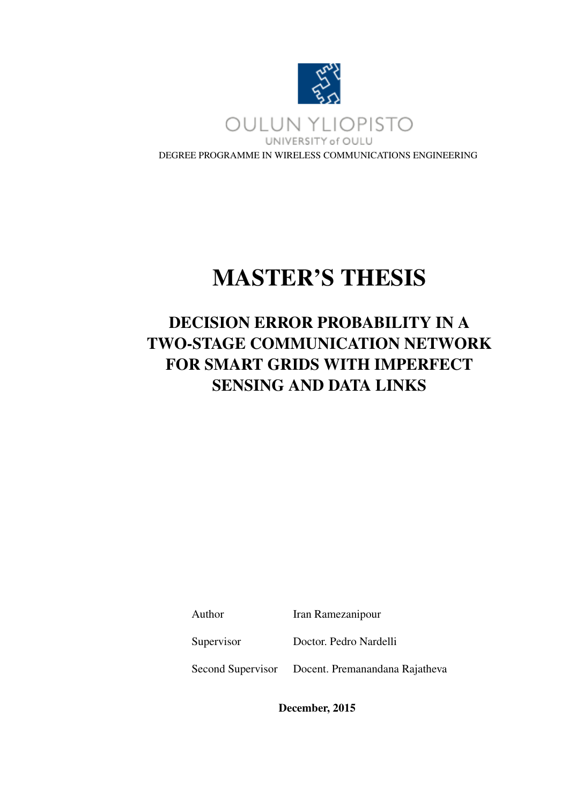

# MASTER'S THESIS

# DECISION ERROR PROBABILITY IN A TWO-STAGE COMMUNICATION NETWORK FOR SMART GRIDS WITH IMPERFECT SENSING AND DATA LINKS

Author Iran Ramezanipour

Supervisor Doctor. Pedro Nardelli

Second Supervisor Docent. Premanandana Rajatheva

December, 2015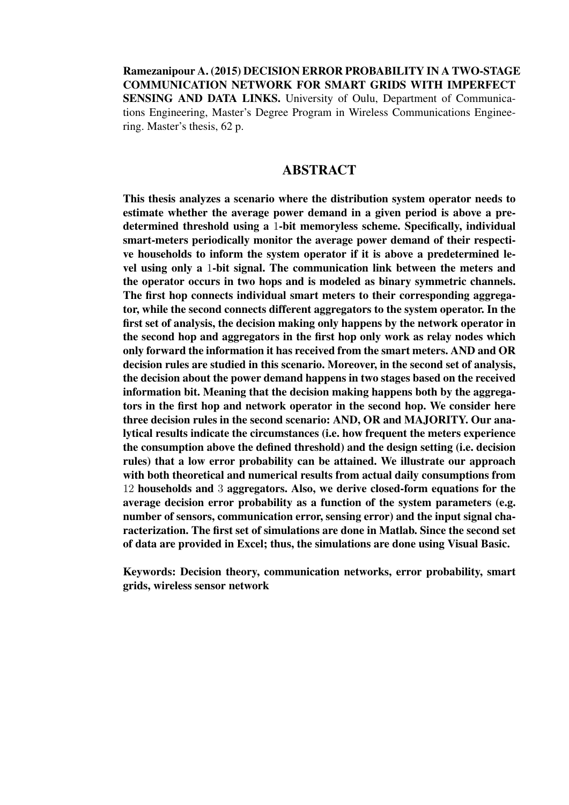Ramezanipour A. (2015) DECISION ERROR PROBABILITY IN A TWO-STAGE COMMUNICATION NETWORK FOR SMART GRIDS WITH IMPERFECT SENSING AND DATA LINKS. University of Oulu, Department of Communications Engineering, Master's Degree Program in Wireless Communications Engineering. Master's thesis, 62 p.

#### ABSTRACT

This thesis analyzes a scenario where the distribution system operator needs to estimate whether the average power demand in a given period is above a predetermined threshold using a 1-bit memoryless scheme. Specifically, individual smart-meters periodically monitor the average power demand of their respective households to inform the system operator if it is above a predetermined level using only a 1-bit signal. The communication link between the meters and the operator occurs in two hops and is modeled as binary symmetric channels. The first hop connects individual smart meters to their corresponding aggregator, while the second connects different aggregators to the system operator. In the first set of analysis, the decision making only happens by the network operator in the second hop and aggregators in the first hop only work as relay nodes which only forward the information it has received from the smart meters. AND and OR decision rules are studied in this scenario. Moreover, in the second set of analysis, the decision about the power demand happens in two stages based on the received information bit. Meaning that the decision making happens both by the aggregators in the first hop and network operator in the second hop. We consider here three decision rules in the second scenario: AND, OR and MAJORITY. Our analytical results indicate the circumstances (i.e. how frequent the meters experience the consumption above the defined threshold) and the design setting (i.e. decision rules) that a low error probability can be attained. We illustrate our approach with both theoretical and numerical results from actual daily consumptions from 12 households and 3 aggregators. Also, we derive closed-form equations for the average decision error probability as a function of the system parameters (e.g. number of sensors, communication error, sensing error) and the input signal characterization. The first set of simulations are done in Matlab. Since the second set of data are provided in Excel; thus, the simulations are done using Visual Basic.

Keywords: Decision theory, communication networks, error probability, smart grids, wireless sensor network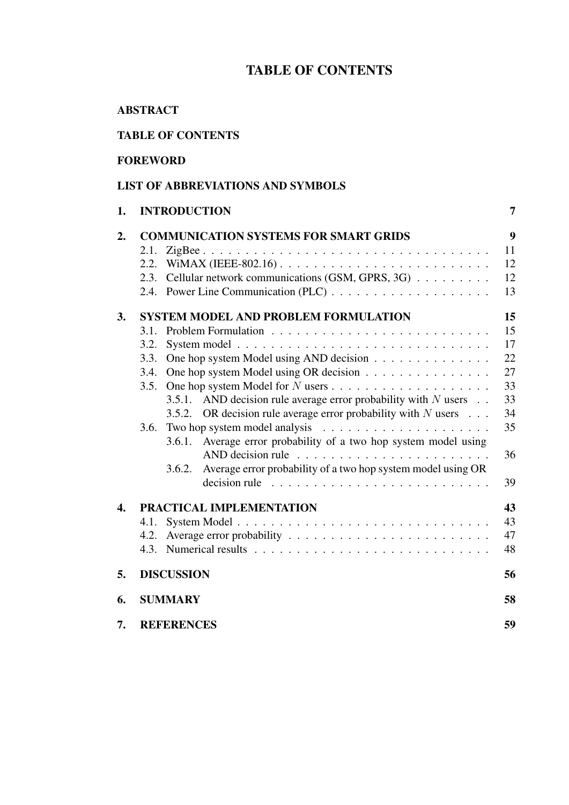# TABLE OF CONTENTS

# ABSTRACT

# TABLE OF CONTENTS

## FOREWORD

# LIST OF ABBREVIATIONS AND SYMBOLS

| 1.               | <b>INTRODUCTION</b>                                                                   | 7  |
|------------------|---------------------------------------------------------------------------------------|----|
| 2.               | <b>COMMUNICATION SYSTEMS FOR SMART GRIDS</b>                                          | 9  |
|                  | 2.1.                                                                                  | 11 |
|                  | WIMAX (IEEE-802.16) $\ldots \ldots \ldots \ldots \ldots \ldots \ldots \ldots$<br>2.2. | 12 |
|                  | Cellular network communications (GSM, GPRS, 3G)<br>2.3.                               | 12 |
|                  |                                                                                       | 13 |
| 3.               | <b>SYSTEM MODEL AND PROBLEM FORMULATION</b>                                           | 15 |
|                  | 3.1.                                                                                  | 15 |
|                  | 3.2.                                                                                  | 17 |
|                  | One hop system Model using AND decision<br>3.3.                                       | 22 |
|                  | One hop system Model using OR decision<br>3.4.                                        | 27 |
|                  | 3.5.                                                                                  | 33 |
|                  | 3.5.1. AND decision rule average error probability with $N$ users $\ldots$            | 33 |
|                  | OR decision rule average error probability with $N$ users $\ldots$<br>3.5.2.          | 34 |
|                  | 3.6.                                                                                  | 35 |
|                  | Average error probability of a two hop system model using<br>3.6.1.                   |    |
|                  | AND decision rule $\ldots \ldots \ldots \ldots \ldots \ldots \ldots$                  | 36 |
|                  | Average error probability of a two hop system model using OR<br>3.6.2.                |    |
|                  | decision rule                                                                         | 39 |
| $\overline{4}$ . | PRACTICAL IMPLEMENTATION                                                              | 43 |
|                  | 4.1.                                                                                  | 43 |
|                  | 4.2.                                                                                  | 47 |
|                  |                                                                                       | 48 |
| 5.               | <b>DISCUSSION</b>                                                                     | 56 |
| 6.               | <b>SUMMARY</b>                                                                        | 58 |
| 7.               | <b>REFERENCES</b>                                                                     | 59 |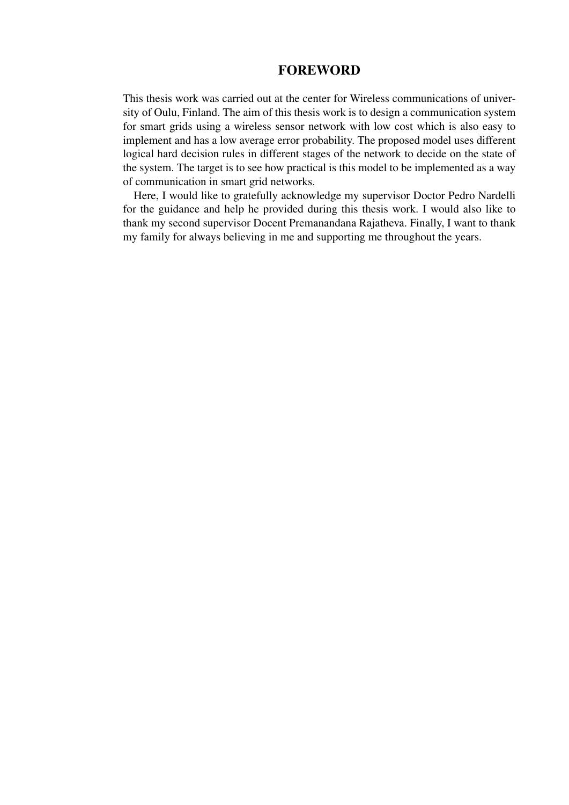# **FOREWORD**

This thesis work was carried out at the center for Wireless communications of university of Oulu, Finland. The aim of this thesis work is to design a communication system for smart grids using a wireless sensor network with low cost which is also easy to implement and has a low average error probability. The proposed model uses different logical hard decision rules in different stages of the network to decide on the state of the system. The target is to see how practical is this model to be implemented as a way of communication in smart grid networks.

Here, I would like to gratefully acknowledge my supervisor Doctor Pedro Nardelli for the guidance and help he provided during this thesis work. I would also like to thank my second supervisor Docent Premanandana Rajatheva. Finally, I want to thank my family for always believing in me and supporting me throughout the years.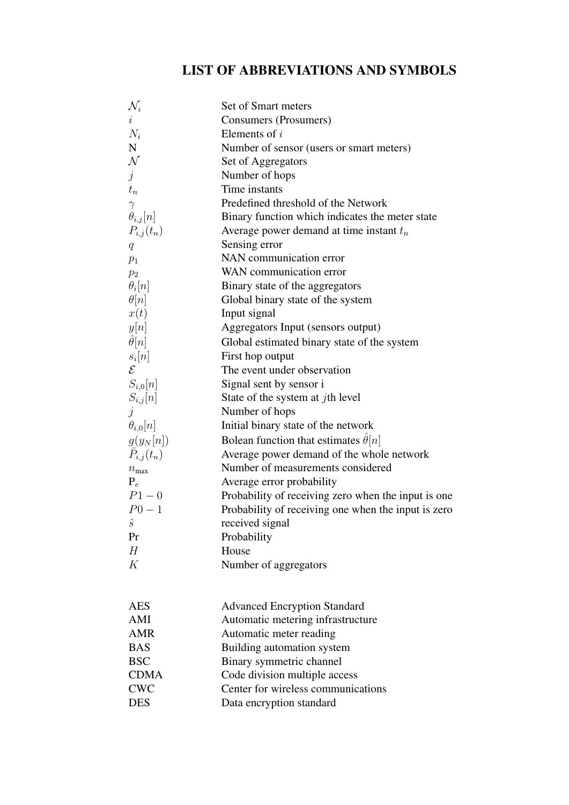# LIST OF ABBREVIATIONS AND SYMBOLS

| $\mathcal{N}_i$      | Set of Smart meters                                 |
|----------------------|-----------------------------------------------------|
| $\dot{\imath}$       | Consumers (Prosumers)                               |
| $N_i$                | Elements of $i$                                     |
| ${\bf N}$            | Number of sensor (users or smart meters)            |
| $\mathcal N$         | Set of Aggregators                                  |
| $\dot{j}$            | Number of hops                                      |
| $t_n$                | Time instants                                       |
| $\gamma$             | Predefined threshold of the Network                 |
| $\theta_{i,j}[n]$    | Binary function which indicates the meter state     |
| $P_{i,j}(t_n)$       | Average power demand at time instant $t_n$          |
| $q_{\parallel}$      | Sensing error                                       |
| $p_1$                | NAN communication error                             |
| $p_2$                | WAN communication error                             |
| $\theta_i[n]$        | Binary state of the aggregators                     |
| $\theta[n]$          | Global binary state of the system                   |
| x(t)                 | Input signal                                        |
| y[n]                 | Aggregators Input (sensors output)                  |
| $\hat{\theta}[n]$    | Global estimated binary state of the system         |
| $s_i[n]$             | First hop output                                    |
| $\mathcal{E}$        | The event under observation                         |
| $S_{i,0}[n]$         | Signal sent by sensor i                             |
| $S_{i,j}[n]$         | State of the system at $j$ th level                 |
| $\dot{\jmath}$       | Number of hops                                      |
| $\theta_{i,0}[n]$    | Initial binary state of the network                 |
| $g(y_N[n])$          | Bolean function that estimates $\theta[n]$          |
| $\bar{P}_{i,j}(t_n)$ | Average power demand of the whole network           |
| $n_{\rm max}$        | Number of measurements considered                   |
| $P_e$                | Average error probability                           |
| $P1 - 0$             | Probability of receiving zero when the input is one |
| $P_{0} - 1$          | Probability of receiving one when the input is zero |
| $\hat{s}$            | received signal                                     |
| Pr                   | Probability                                         |
| H                    | House                                               |
| K                    | Number of aggregators                               |
|                      |                                                     |
| <b>AES</b>           | <b>Advanced Encryption Standard</b>                 |
| AMI                  | Automatic metering infrastructure                   |
| <b>AMR</b>           | Automatic meter reading                             |
| <b>BAS</b>           | Building automation system                          |
| <b>BSC</b>           | Binary symmetric channel                            |
| <b>CDMA</b>          | Code division multiple access                       |
| <b>CWC</b>           | Center for wireless communications                  |
| <b>DES</b>           | Data encryption standard                            |
|                      |                                                     |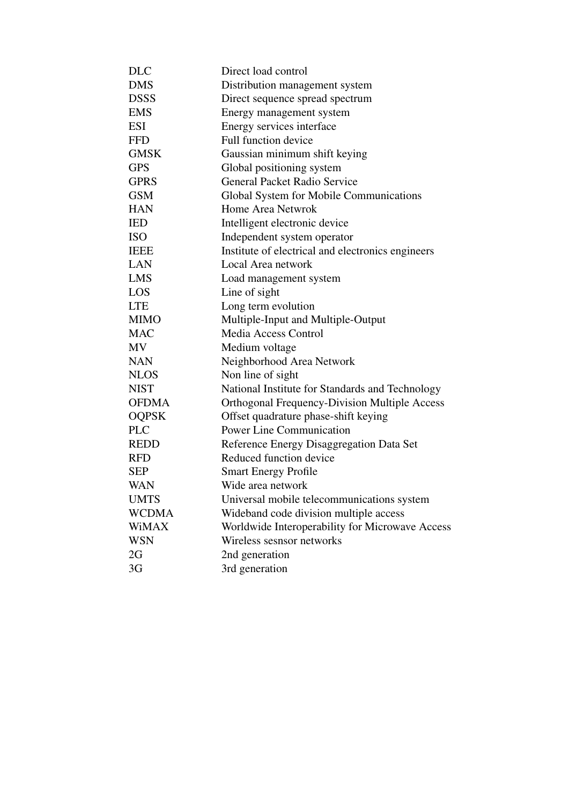| <b>DLC</b>   | Direct load control                                  |
|--------------|------------------------------------------------------|
| <b>DMS</b>   | Distribution management system                       |
| <b>DSSS</b>  | Direct sequence spread spectrum                      |
| <b>EMS</b>   | Energy management system                             |
| <b>ESI</b>   | Energy services interface                            |
| <b>FFD</b>   | Full function device                                 |
| <b>GMSK</b>  | Gaussian minimum shift keying                        |
| <b>GPS</b>   | Global positioning system                            |
| <b>GPRS</b>  | General Packet Radio Service                         |
| <b>GSM</b>   | Global System for Mobile Communications              |
| <b>HAN</b>   | Home Area Netwrok                                    |
| <b>IED</b>   | Intelligent electronic device                        |
| <b>ISO</b>   | Independent system operator                          |
| <b>IEEE</b>  | Institute of electrical and electronics engineers    |
| LAN          | Local Area network                                   |
| <b>LMS</b>   | Load management system                               |
| LOS          | Line of sight                                        |
| <b>LTE</b>   | Long term evolution                                  |
| <b>MIMO</b>  | Multiple-Input and Multiple-Output                   |
| <b>MAC</b>   | <b>Media Access Control</b>                          |
| <b>MV</b>    | Medium voltage                                       |
| <b>NAN</b>   | Neighborhood Area Network                            |
| <b>NLOS</b>  | Non line of sight                                    |
| <b>NIST</b>  | National Institute for Standards and Technology      |
| <b>OFDMA</b> | <b>Orthogonal Frequency-Division Multiple Access</b> |
| <b>OQPSK</b> | Offset quadrature phase-shift keying                 |
| <b>PLC</b>   | <b>Power Line Communication</b>                      |
| <b>REDD</b>  | Reference Energy Disaggregation Data Set             |
| <b>RFD</b>   | Reduced function device                              |
| <b>SEP</b>   | <b>Smart Energy Profile</b>                          |
| WAN          | Wide area network                                    |
| <b>UMTS</b>  | Universal mobile telecommunications system           |
| <b>WCDMA</b> | Wideband code division multiple access               |
| <b>WiMAX</b> | Worldwide Interoperability for Microwave Access      |
| <b>WSN</b>   | Wireless sesnsor networks                            |
| 2G           | 2nd generation                                       |
| 3G           | 3rd generation                                       |
|              |                                                      |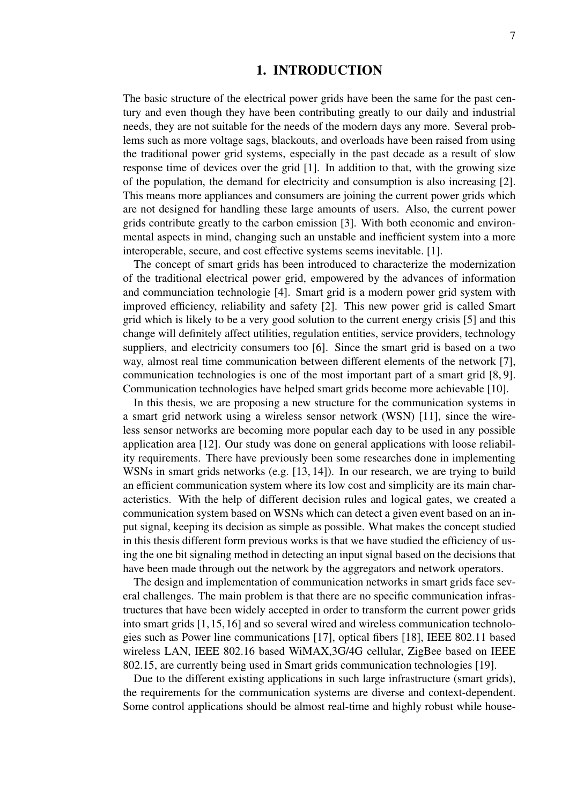#### 1. INTRODUCTION

The basic structure of the electrical power grids have been the same for the past century and even though they have been contributing greatly to our daily and industrial needs, they are not suitable for the needs of the modern days any more. Several problems such as more voltage sags, blackouts, and overloads have been raised from using the traditional power grid systems, especially in the past decade as a result of slow response time of devices over the grid [1]. In addition to that, with the growing size of the population, the demand for electricity and consumption is also increasing [2]. This means more appliances and consumers are joining the current power grids which are not designed for handling these large amounts of users. Also, the current power grids contribute greatly to the carbon emission [3]. With both economic and environmental aspects in mind, changing such an unstable and inefficient system into a more interoperable, secure, and cost effective systems seems inevitable. [1].

The concept of smart grids has been introduced to characterize the modernization of the traditional electrical power grid, empowered by the advances of information and communciation technologie [4]. Smart grid is a modern power grid system with improved efficiency, reliability and safety [2]. This new power grid is called Smart grid which is likely to be a very good solution to the current energy crisis [5] and this change will definitely affect utilities, regulation entities, service providers, technology suppliers, and electricity consumers too [6]. Since the smart grid is based on a two way, almost real time communication between different elements of the network [7], communication technologies is one of the most important part of a smart grid [8, 9]. Communication technologies have helped smart grids become more achievable [10].

In this thesis, we are proposing a new structure for the communication systems in a smart grid network using a wireless sensor network (WSN) [11], since the wireless sensor networks are becoming more popular each day to be used in any possible application area [12]. Our study was done on general applications with loose reliability requirements. There have previously been some researches done in implementing WSNs in smart grids networks (e.g. [13, 14]). In our research, we are trying to build an efficient communication system where its low cost and simplicity are its main characteristics. With the help of different decision rules and logical gates, we created a communication system based on WSNs which can detect a given event based on an input signal, keeping its decision as simple as possible. What makes the concept studied in this thesis different form previous works is that we have studied the efficiency of using the one bit signaling method in detecting an input signal based on the decisions that have been made through out the network by the aggregators and network operators.

The design and implementation of communication networks in smart grids face several challenges. The main problem is that there are no specific communication infrastructures that have been widely accepted in order to transform the current power grids into smart grids [1, 15, 16] and so several wired and wireless communication technologies such as Power line communications [17], optical fibers [18], IEEE 802.11 based wireless LAN, IEEE 802.16 based WiMAX,3G/4G cellular, ZigBee based on IEEE 802.15, are currently being used in Smart grids communication technologies [19].

Due to the different existing applications in such large infrastructure (smart grids), the requirements for the communication systems are diverse and context-dependent. Some control applications should be almost real-time and highly robust while house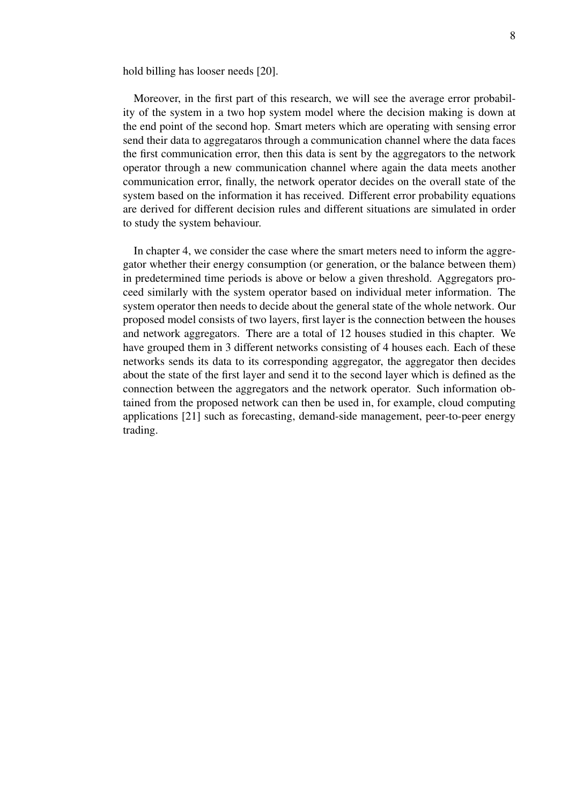hold billing has looser needs [20].

Moreover, in the first part of this research, we will see the average error probability of the system in a two hop system model where the decision making is down at the end point of the second hop. Smart meters which are operating with sensing error send their data to aggregataros through a communication channel where the data faces the first communication error, then this data is sent by the aggregators to the network operator through a new communication channel where again the data meets another communication error, finally, the network operator decides on the overall state of the system based on the information it has received. Different error probability equations are derived for different decision rules and different situations are simulated in order to study the system behaviour.

In chapter 4, we consider the case where the smart meters need to inform the aggregator whether their energy consumption (or generation, or the balance between them) in predetermined time periods is above or below a given threshold. Aggregators proceed similarly with the system operator based on individual meter information. The system operator then needs to decide about the general state of the whole network. Our proposed model consists of two layers, first layer is the connection between the houses and network aggregators. There are a total of 12 houses studied in this chapter. We have grouped them in 3 different networks consisting of 4 houses each. Each of these networks sends its data to its corresponding aggregator, the aggregator then decides about the state of the first layer and send it to the second layer which is defined as the connection between the aggregators and the network operator. Such information obtained from the proposed network can then be used in, for example, cloud computing applications [21] such as forecasting, demand-side management, peer-to-peer energy trading.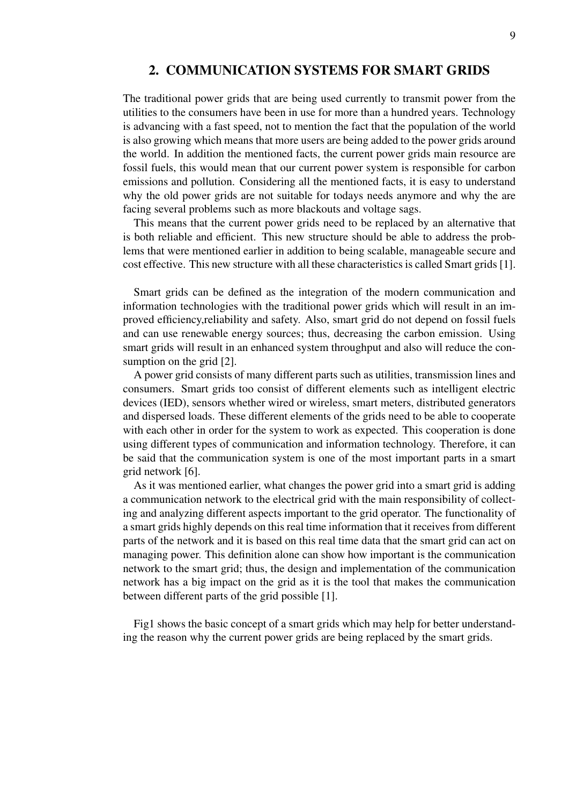# 2. COMMUNICATION SYSTEMS FOR SMART GRIDS

The traditional power grids that are being used currently to transmit power from the utilities to the consumers have been in use for more than a hundred years. Technology is advancing with a fast speed, not to mention the fact that the population of the world is also growing which means that more users are being added to the power grids around the world. In addition the mentioned facts, the current power grids main resource are fossil fuels, this would mean that our current power system is responsible for carbon emissions and pollution. Considering all the mentioned facts, it is easy to understand why the old power grids are not suitable for todays needs anymore and why the are facing several problems such as more blackouts and voltage sags.

This means that the current power grids need to be replaced by an alternative that is both reliable and efficient. This new structure should be able to address the problems that were mentioned earlier in addition to being scalable, manageable secure and cost effective. This new structure with all these characteristics is called Smart grids [1].

Smart grids can be defined as the integration of the modern communication and information technologies with the traditional power grids which will result in an improved efficiency,reliability and safety. Also, smart grid do not depend on fossil fuels and can use renewable energy sources; thus, decreasing the carbon emission. Using smart grids will result in an enhanced system throughput and also will reduce the consumption on the grid [2].

A power grid consists of many different parts such as utilities, transmission lines and consumers. Smart grids too consist of different elements such as intelligent electric devices (IED), sensors whether wired or wireless, smart meters, distributed generators and dispersed loads. These different elements of the grids need to be able to cooperate with each other in order for the system to work as expected. This cooperation is done using different types of communication and information technology. Therefore, it can be said that the communication system is one of the most important parts in a smart grid network [6].

As it was mentioned earlier, what changes the power grid into a smart grid is adding a communication network to the electrical grid with the main responsibility of collecting and analyzing different aspects important to the grid operator. The functionality of a smart grids highly depends on this real time information that it receives from different parts of the network and it is based on this real time data that the smart grid can act on managing power. This definition alone can show how important is the communication network to the smart grid; thus, the design and implementation of the communication network has a big impact on the grid as it is the tool that makes the communication between different parts of the grid possible [1].

Fig1 shows the basic concept of a smart grids which may help for better understanding the reason why the current power grids are being replaced by the smart grids.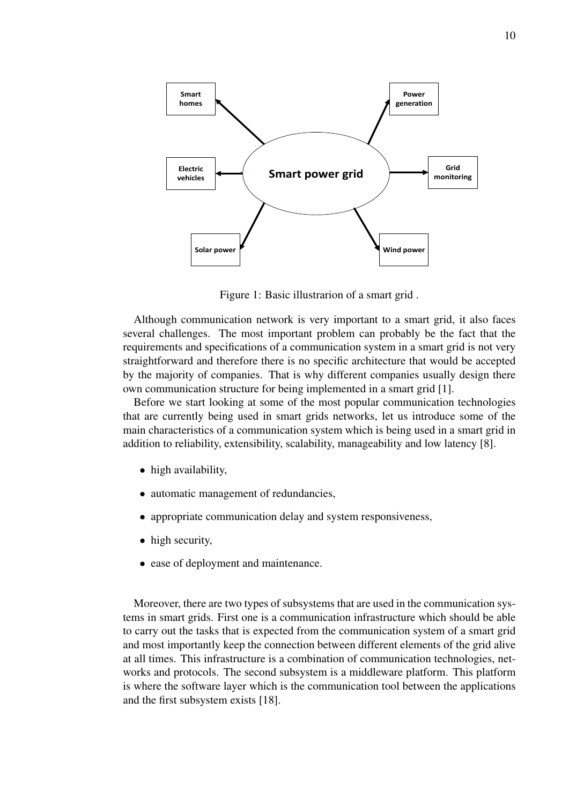

Figure 1: Basic illustrarion of a smart grid .

Although communication network is very important to a smart grid, it also faces several challenges. The most important problem can probably be the fact that the requirements and specifications of a communication system in a smart grid is not very straightforward and therefore there is no specific architecture that would be accepted by the majority of companies. That is why different companies usually design there own communication structure for being implemented in a smart grid [1].

Before we start looking at some of the most popular communication technologies that are currently being used in smart grids networks, let us introduce some of the main characteristics of a communication system which is being used in a smart grid in addition to reliability, extensibility, scalability, manageability and low latency [8].

- high availability,
- automatic management of redundancies,
- appropriate communication delay and system responsiveness,
- high security,
- ease of deployment and maintenance.

Moreover, there are two types of subsystems that are used in the communication systems in smart grids. First one is a communication infrastructure which should be able to carry out the tasks that is expected from the communication system of a smart grid and most importantly keep the connection between different elements of the grid alive at all times. This infrastructure is a combination of communication technologies, networks and protocols. The second subsystem is a middleware platform. This platform is where the software layer which is the communication tool between the applications and the first subsystem exists [18].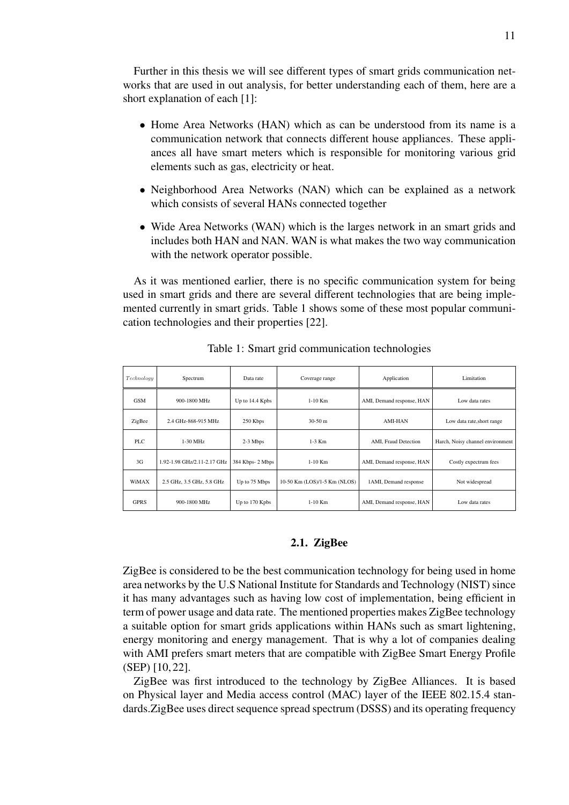Further in this thesis we will see different types of smart grids communication networks that are used in out analysis, for better understanding each of them, here are a short explanation of each [1]:

- Home Area Networks (HAN) which as can be understood from its name is a communication network that connects different house appliances. These appliances all have smart meters which is responsible for monitoring various grid elements such as gas, electricity or heat.
- Neighborhood Area Networks (NAN) which can be explained as a network which consists of several HANs connected together
- Wide Area Networks (WAN) which is the larges network in an smart grids and includes both HAN and NAN. WAN is what makes the two way communication with the network operator possible.

As it was mentioned earlier, there is no specific communication system for being used in smart grids and there are several different technologies that are being implemented currently in smart grids. Table 1 shows some of these most popular communication technologies and their properties [22].

| Technology  | Spectrum                                    | Data rate                                                 | Coverage range               | Application               | Limitation                       |
|-------------|---------------------------------------------|-----------------------------------------------------------|------------------------------|---------------------------|----------------------------------|
| <b>GSM</b>  | 900-1800 MHz                                | Up to 14.4 Kpbs<br>$1-10$ Km<br>AMI, Demand response, HAN |                              | Low data rates            |                                  |
| ZigBee      | 2.4 GHz-868-915 MHz                         | 250 Kbps                                                  | $30-50$ m                    | <b>AMI-HAN</b>            | Low data rate, short range       |
| <b>PLC</b>  | $1-30$ MHz                                  | $2-3$ Mbps                                                | $1-3$ Km                     | AMI, Fraud Detection      | Harch, Noisy channel environment |
| 3G          | 1.92-1.98 GHz/2.11-2.17 GHz                 | 384 Kbps-2 Mbps                                           | $1-10$ Km                    | AMI, Demand response, HAN | Costly expectrum fees            |
| WiMAX       | 2.5 GHz, 3.5 GHz, 5.8 GHz                   | Up to 75 Mbps                                             | 10-50 Km (LOS)/1-5 Km (NLOS) | 1AMI, Demand response     | Not widespread                   |
| <b>GPRS</b> | 900-1800 MHz<br>$1-10$ Km<br>Up to 170 Kpbs |                                                           | AMI, Demand response, HAN    | Low data rates            |                                  |

Table 1: Smart grid communication technologies

#### 2.1. ZigBee

ZigBee is considered to be the best communication technology for being used in home area networks by the U.S National Institute for Standards and Technology (NIST) since it has many advantages such as having low cost of implementation, being efficient in term of power usage and data rate. The mentioned properties makes ZigBee technology a suitable option for smart grids applications within HANs such as smart lightening, energy monitoring and energy management. That is why a lot of companies dealing with AMI prefers smart meters that are compatible with ZigBee Smart Energy Profile (SEP) [10, 22].

ZigBee was first introduced to the technology by ZigBee Alliances. It is based on Physical layer and Media access control (MAC) layer of the IEEE 802.15.4 standards.ZigBee uses direct sequence spread spectrum (DSSS) and its operating frequency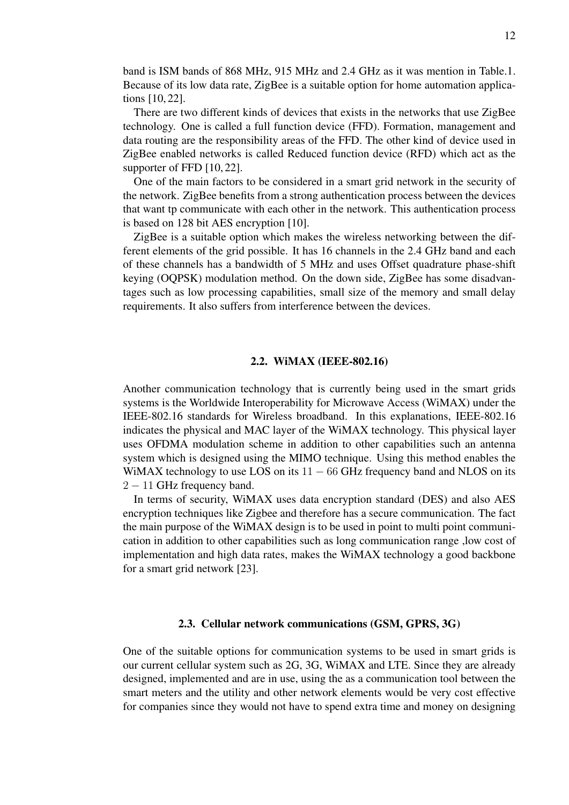band is ISM bands of 868 MHz, 915 MHz and 2.4 GHz as it was mention in Table.1. Because of its low data rate, ZigBee is a suitable option for home automation applications [10, 22].

There are two different kinds of devices that exists in the networks that use ZigBee technology. One is called a full function device (FFD). Formation, management and data routing are the responsibility areas of the FFD. The other kind of device used in ZigBee enabled networks is called Reduced function device (RFD) which act as the supporter of FFD [10, 22].

One of the main factors to be considered in a smart grid network in the security of the network. ZigBee benefits from a strong authentication process between the devices that want tp communicate with each other in the network. This authentication process is based on 128 bit AES encryption [10].

ZigBee is a suitable option which makes the wireless networking between the different elements of the grid possible. It has 16 channels in the 2.4 GHz band and each of these channels has a bandwidth of 5 MHz and uses Offset quadrature phase-shift keying (OQPSK) modulation method. On the down side, ZigBee has some disadvantages such as low processing capabilities, small size of the memory and small delay requirements. It also suffers from interference between the devices.

#### 2.2. WiMAX (IEEE-802.16)

Another communication technology that is currently being used in the smart grids systems is the Worldwide Interoperability for Microwave Access (WiMAX) under the IEEE-802.16 standards for Wireless broadband. In this explanations, IEEE-802.16 indicates the physical and MAC layer of the WiMAX technology. This physical layer uses OFDMA modulation scheme in addition to other capabilities such an antenna system which is designed using the MIMO technique. Using this method enables the WiMAX technology to use LOS on its  $11 - 66$  GHz frequency band and NLOS on its 2 – 11 GHz frequency band.

In terms of security, WiMAX uses data encryption standard (DES) and also AES encryption techniques like Zigbee and therefore has a secure communication. The fact the main purpose of the WiMAX design is to be used in point to multi point communication in addition to other capabilities such as long communication range ,low cost of implementation and high data rates, makes the WiMAX technology a good backbone for a smart grid network [23].

#### 2.3. Cellular network communications (GSM, GPRS, 3G)

One of the suitable options for communication systems to be used in smart grids is our current cellular system such as 2G, 3G, WiMAX and LTE. Since they are already designed, implemented and are in use, using the as a communication tool between the smart meters and the utility and other network elements would be very cost effective for companies since they would not have to spend extra time and money on designing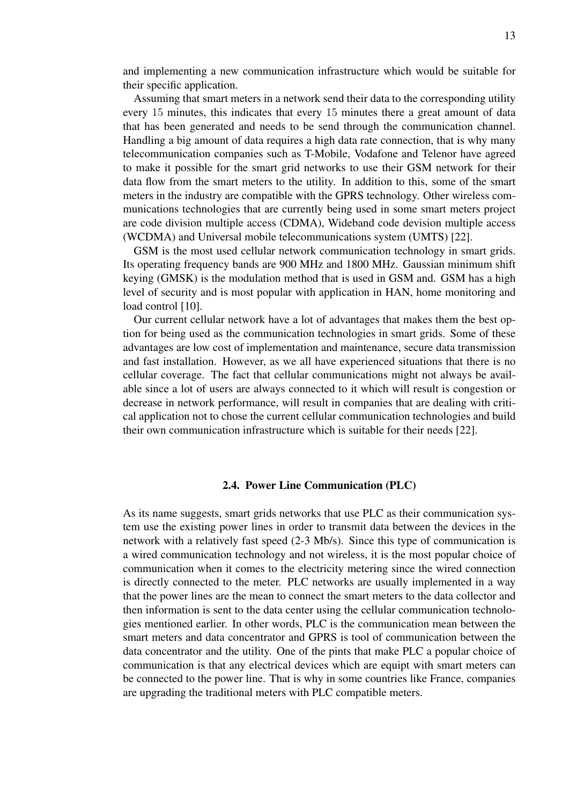and implementing a new communication infrastructure which would be suitable for their specific application.

Assuming that smart meters in a network send their data to the corresponding utility every 15 minutes, this indicates that every 15 minutes there a great amount of data that has been generated and needs to be send through the communication channel. Handling a big amount of data requires a high data rate connection, that is why many telecommunication companies such as T-Mobile, Vodafone and Telenor have agreed to make it possible for the smart grid networks to use their GSM network for their data flow from the smart meters to the utility. In addition to this, some of the smart meters in the industry are compatible with the GPRS technology. Other wireless communications technologies that are currently being used in some smart meters project are code division multiple access (CDMA), Wideband code devision multiple access (WCDMA) and Universal mobile telecommunications system (UMTS) [22].

GSM is the most used cellular network communication technology in smart grids. Its operating frequency bands are 900 MHz and 1800 MHz. Gaussian minimum shift keying (GMSK) is the modulation method that is used in GSM and. GSM has a high level of security and is most popular with application in HAN, home monitoring and load control [10].

Our current cellular network have a lot of advantages that makes them the best option for being used as the communication technologies in smart grids. Some of these advantages are low cost of implementation and maintenance, secure data transmission and fast installation. However, as we all have experienced situations that there is no cellular coverage. The fact that cellular communications might not always be available since a lot of users are always connected to it which will result is congestion or decrease in network performance, will result in companies that are dealing with critical application not to chose the current cellular communication technologies and build their own communication infrastructure which is suitable for their needs [22].

#### 2.4. Power Line Communication (PLC)

As its name suggests, smart grids networks that use PLC as their communication system use the existing power lines in order to transmit data between the devices in the network with a relatively fast speed (2-3 Mb/s). Since this type of communication is a wired communication technology and not wireless, it is the most popular choice of communication when it comes to the electricity metering since the wired connection is directly connected to the meter. PLC networks are usually implemented in a way that the power lines are the mean to connect the smart meters to the data collector and then information is sent to the data center using the cellular communication technologies mentioned earlier. In other words, PLC is the communication mean between the smart meters and data concentrator and GPRS is tool of communication between the data concentrator and the utility. One of the pints that make PLC a popular choice of communication is that any electrical devices which are equipt with smart meters can be connected to the power line. That is why in some countries like France, companies are upgrading the traditional meters with PLC compatible meters.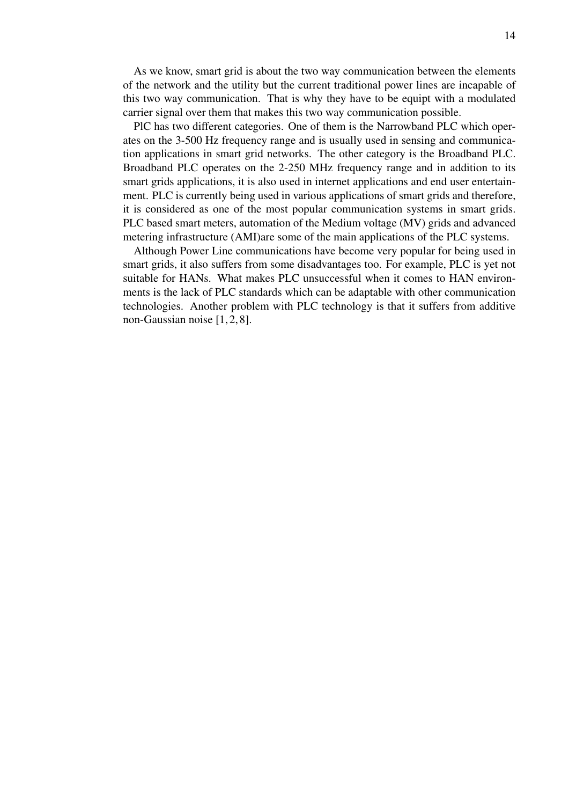As we know, smart grid is about the two way communication between the elements of the network and the utility but the current traditional power lines are incapable of this two way communication. That is why they have to be equipt with a modulated carrier signal over them that makes this two way communication possible.

PlC has two different categories. One of them is the Narrowband PLC which operates on the 3-500 Hz frequency range and is usually used in sensing and communication applications in smart grid networks. The other category is the Broadband PLC. Broadband PLC operates on the 2-250 MHz frequency range and in addition to its smart grids applications, it is also used in internet applications and end user entertainment. PLC is currently being used in various applications of smart grids and therefore, it is considered as one of the most popular communication systems in smart grids. PLC based smart meters, automation of the Medium voltage (MV) grids and advanced metering infrastructure (AMI)are some of the main applications of the PLC systems.

Although Power Line communications have become very popular for being used in smart grids, it also suffers from some disadvantages too. For example, PLC is yet not suitable for HANs. What makes PLC unsuccessful when it comes to HAN environments is the lack of PLC standards which can be adaptable with other communication technologies. Another problem with PLC technology is that it suffers from additive non-Gaussian noise [1, 2, 8].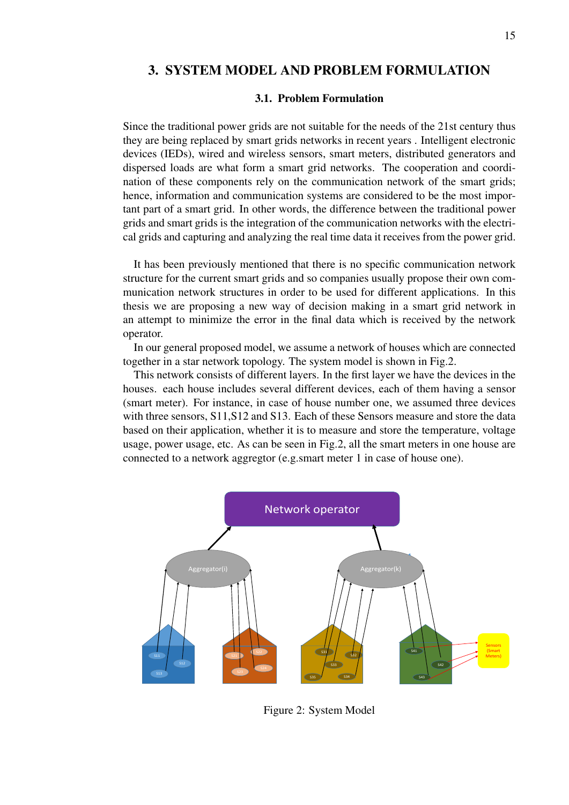# 3. SYSTEM MODEL AND PROBLEM FORMULATION

#### 3.1. Problem Formulation

Since the traditional power grids are not suitable for the needs of the 21st century thus they are being replaced by smart grids networks in recent years . Intelligent electronic devices (IEDs), wired and wireless sensors, smart meters, distributed generators and dispersed loads are what form a smart grid networks. The cooperation and coordination of these components rely on the communication network of the smart grids; hence, information and communication systems are considered to be the most important part of a smart grid. In other words, the difference between the traditional power grids and smart grids is the integration of the communication networks with the electrical grids and capturing and analyzing the real time data it receives from the power grid.

It has been previously mentioned that there is no specific communication network structure for the current smart grids and so companies usually propose their own communication network structures in order to be used for different applications. In this thesis we are proposing a new way of decision making in a smart grid network in an attempt to minimize the error in the final data which is received by the network operator.

In our general proposed model, we assume a network of houses which are connected together in a star network topology. The system model is shown in Fig.2.

This network consists of different layers. In the first layer we have the devices in the houses. each house includes several different devices, each of them having a sensor (smart meter). For instance, in case of house number one, we assumed three devices with three sensors, S11,S12 and S13. Each of these Sensors measure and store the data based on their application, whether it is to measure and store the temperature, voltage usage, power usage, etc. As can be seen in Fig.2, all the smart meters in one house are connected to a network aggregtor (e.g.smart meter 1 in case of house one).



Figure 2: System Model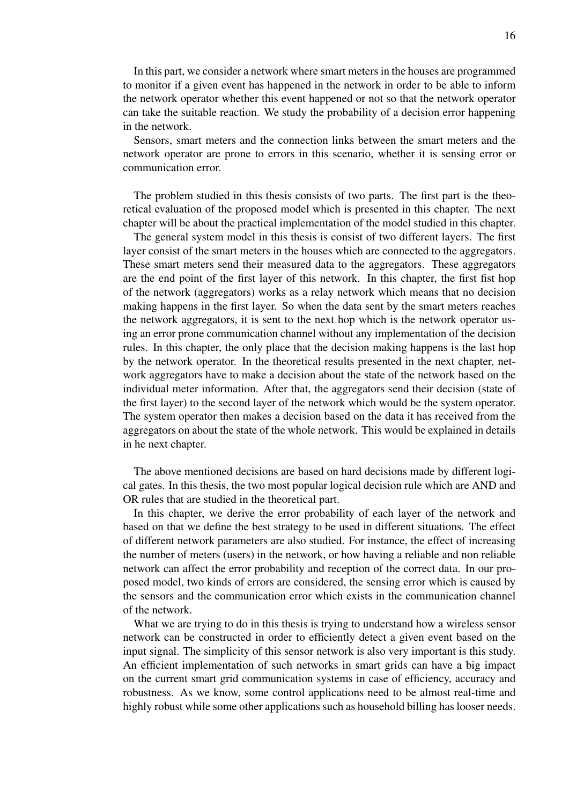In this part, we consider a network where smart meters in the houses are programmed to monitor if a given event has happened in the network in order to be able to inform the network operator whether this event happened or not so that the network operator can take the suitable reaction. We study the probability of a decision error happening in the network.

Sensors, smart meters and the connection links between the smart meters and the network operator are prone to errors in this scenario, whether it is sensing error or communication error.

The problem studied in this thesis consists of two parts. The first part is the theoretical evaluation of the proposed model which is presented in this chapter. The next chapter will be about the practical implementation of the model studied in this chapter.

The general system model in this thesis is consist of two different layers. The first layer consist of the smart meters in the houses which are connected to the aggregators. These smart meters send their measured data to the aggregators. These aggregators are the end point of the first layer of this network. In this chapter, the first fist hop of the network (aggregators) works as a relay network which means that no decision making happens in the first layer. So when the data sent by the smart meters reaches the network aggregators, it is sent to the next hop which is the network operator using an error prone communication channel without any implementation of the decision rules. In this chapter, the only place that the decision making happens is the last hop by the network operator. In the theoretical results presented in the next chapter, network aggregators have to make a decision about the state of the network based on the individual meter information. After that, the aggregators send their decision (state of the first layer) to the second layer of the network which would be the system operator. The system operator then makes a decision based on the data it has received from the aggregators on about the state of the whole network. This would be explained in details in he next chapter.

The above mentioned decisions are based on hard decisions made by different logical gates. In this thesis, the two most popular logical decision rule which are AND and OR rules that are studied in the theoretical part.

In this chapter, we derive the error probability of each layer of the network and based on that we define the best strategy to be used in different situations. The effect of different network parameters are also studied. For instance, the effect of increasing the number of meters (users) in the network, or how having a reliable and non reliable network can affect the error probability and reception of the correct data. In our proposed model, two kinds of errors are considered, the sensing error which is caused by the sensors and the communication error which exists in the communication channel of the network.

What we are trying to do in this thesis is trying to understand how a wireless sensor network can be constructed in order to efficiently detect a given event based on the input signal. The simplicity of this sensor network is also very important is this study. An efficient implementation of such networks in smart grids can have a big impact on the current smart grid communication systems in case of efficiency, accuracy and robustness. As we know, some control applications need to be almost real-time and highly robust while some other applications such as household billing has looser needs.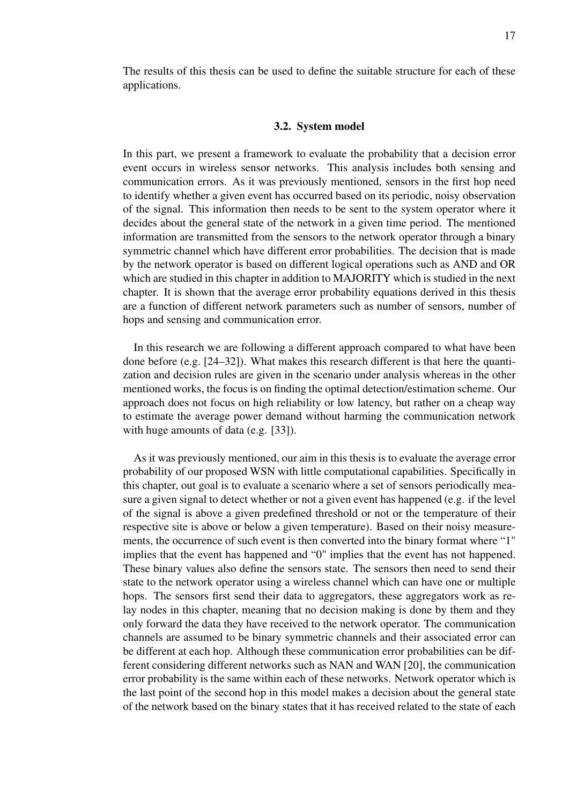The results of this thesis can be used to define the suitable structure for each of these applications.

#### 3.2. System model

In this part, we present a framework to evaluate the probability that a decision error event occurs in wireless sensor networks. This analysis includes both sensing and communication errors. As it was previously mentioned, sensors in the first hop need to identify whether a given event has occurred based on its periodic, noisy observation of the signal. This information then needs to be sent to the system operator where it decides about the general state of the network in a given time period. The mentioned information are transmitted from the sensors to the network operator through a binary symmetric channel which have different error probabilities. The decision that is made by the network operator is based on different logical operations such as AND and OR which are studied in this chapter in addition to MAJORITY which is studied in the next chapter. It is shown that the average error probability equations derived in this thesis are a function of different network parameters such as number of sensors, number of hops and sensing and communication error.

In this research we are following a different approach compared to what have been done before (e.g. [24–32]). What makes this research different is that here the quantization and decision rules are given in the scenario under analysis whereas in the other mentioned works, the focus is on finding the optimal detection/estimation scheme. Our approach does not focus on high reliability or low latency, but rather on a cheap way to estimate the average power demand without harming the communication network with huge amounts of data (e.g. [33]).

As it was previously mentioned, our aim in this thesis is to evaluate the average error probability of our proposed WSN with little computational capabilities. Specifically in this chapter, out goal is to evaluate a scenario where a set of sensors periodically measure a given signal to detect whether or not a given event has happened (e.g. if the level of the signal is above a given predefined threshold or not or the temperature of their respective site is above or below a given temperature). Based on their noisy measurements, the occurrence of such event is then converted into the binary format where "1" implies that the event has happened and "0" implies that the event has not happened. These binary values also define the sensors state. The sensors then need to send their state to the network operator using a wireless channel which can have one or multiple hops. The sensors first send their data to aggregators, these aggregators work as relay nodes in this chapter, meaning that no decision making is done by them and they only forward the data they have received to the network operator. The communication channels are assumed to be binary symmetric channels and their associated error can be different at each hop. Although these communication error probabilities can be different considering different networks such as NAN and WAN [20], the communication error probability is the same within each of these networks. Network operator which is the last point of the second hop in this model makes a decision about the general state of the network based on the binary states that it has received related to the state of each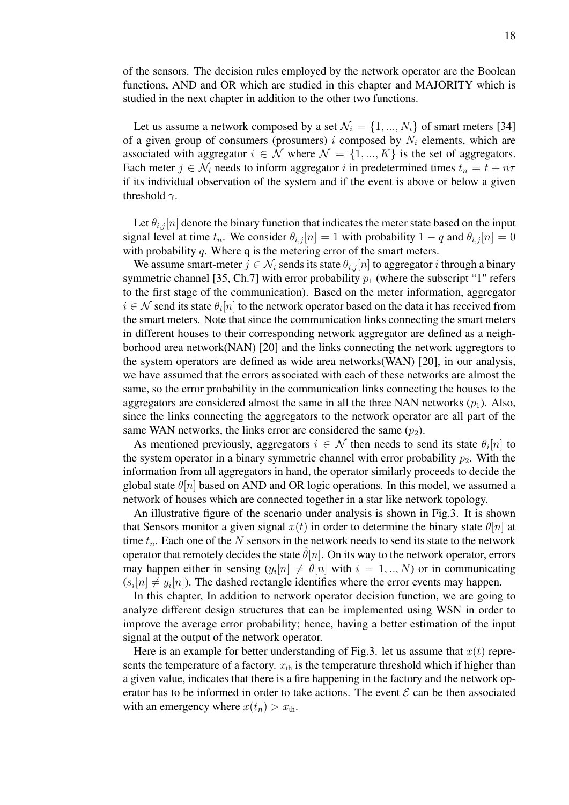of the sensors. The decision rules employed by the network operator are the Boolean functions, AND and OR which are studied in this chapter and MAJORITY which is studied in the next chapter in addition to the other two functions.

Let us assume a network composed by a set  $\mathcal{N}_i = \{1, ..., N_i\}$  of smart meters [34] of a given group of consumers (prosumers) i composed by  $N_i$  elements, which are associated with aggregator  $i \in \mathcal{N}$  where  $\mathcal{N} = \{1, ..., K\}$  is the set of aggregators. Each meter  $j \in \mathcal{N}_i$  needs to inform aggregator i in predetermined times  $t_n = t + n\tau$ if its individual observation of the system and if the event is above or below a given threshold  $\gamma$ .

Let  $\theta_{i,j}[n]$  denote the binary function that indicates the meter state based on the input signal level at time  $t_n$ . We consider  $\theta_{i,j}[n] = 1$  with probability  $1 - q$  and  $\theta_{i,j}[n] = 0$ with probability  $q$ . Where q is the metering error of the smart meters.

We assume smart-meter  $j \in \mathcal{N}_i$  sends its state  $\theta_{i,j}[n]$  to aggregator i through a binary symmetric channel [35, Ch.7] with error probability  $p_1$  (where the subscript "1" refers to the first stage of the communication). Based on the meter information, aggregator  $i \in \mathcal{N}$  send its state  $\theta_i[n]$  to the network operator based on the data it has received from the smart meters. Note that since the communication links connecting the smart meters in different houses to their corresponding network aggregator are defined as a neighborhood area network(NAN) [20] and the links connecting the network aggregtors to the system operators are defined as wide area networks(WAN) [20], in our analysis, we have assumed that the errors associated with each of these networks are almost the same, so the error probability in the communication links connecting the houses to the aggregators are considered almost the same in all the three NAN networks  $(p_1)$ . Also, since the links connecting the aggregators to the network operator are all part of the same WAN networks, the links error are considered the same  $(p_2)$ .

As mentioned previously, aggregators  $i \in \mathcal{N}$  then needs to send its state  $\theta_i[n]$  to the system operator in a binary symmetric channel with error probability  $p_2$ . With the information from all aggregators in hand, the operator similarly proceeds to decide the global state  $\theta[n]$  based on AND and OR logic operations. In this model, we assumed a network of houses which are connected together in a star like network topology.

An illustrative figure of the scenario under analysis is shown in Fig.3. It is shown that Sensors monitor a given signal  $x(t)$  in order to determine the binary state  $\theta[n]$  at time  $t_n$ . Each one of the N sensors in the network needs to send its state to the network operator that remotely decides the state  $\hat{\theta}[n]$ . On its way to the network operator, errors may happen either in sensing  $(y_i[n] \neq \theta[n]$  with  $i = 1, ..., N$ ) or in communicating  $(s_i[n] \neq y_i[n])$ . The dashed rectangle identifies where the error events may happen.

In this chapter, In addition to network operator decision function, we are going to analyze different design structures that can be implemented using WSN in order to improve the average error probability; hence, having a better estimation of the input signal at the output of the network operator.

Here is an example for better understanding of Fig.3. let us assume that  $x(t)$  represents the temperature of a factory.  $x_{\text{th}}$  is the temperature threshold which if higher than a given value, indicates that there is a fire happening in the factory and the network operator has to be informed in order to take actions. The event  $\mathcal E$  can be then associated with an emergency where  $x(t_n) > x_{th}$ .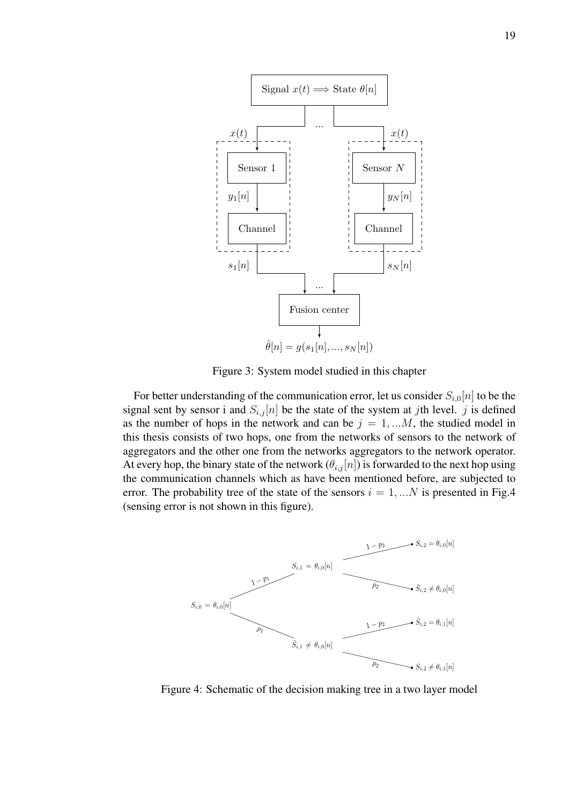

Figure 3: System model studied in this chapter

For better understanding of the communication error, let us consider  $S_{i,0}[n]$  to be the signal sent by sensor i and  $S_{i,j}[n]$  be the state of the system at jth level. j is defined as the number of hops in the network and can be  $j = 1, \dots M$ , the studied model in this thesis consists of two hops, one from the networks of sensors to the network of aggregators and the other one from the networks aggregators to the network operator. At every hop, the binary state of the network  $(\theta_{i,j}[n])$  is forwarded to the next hop using the communication channels which as have been mentioned before, are subjected to error. The probability tree of the state of the sensors  $i = 1, \dots N$  is presented in Fig.4 (sensing error is not shown in this figure).



Figure 4: Schematic of the decision making tree in a two layer model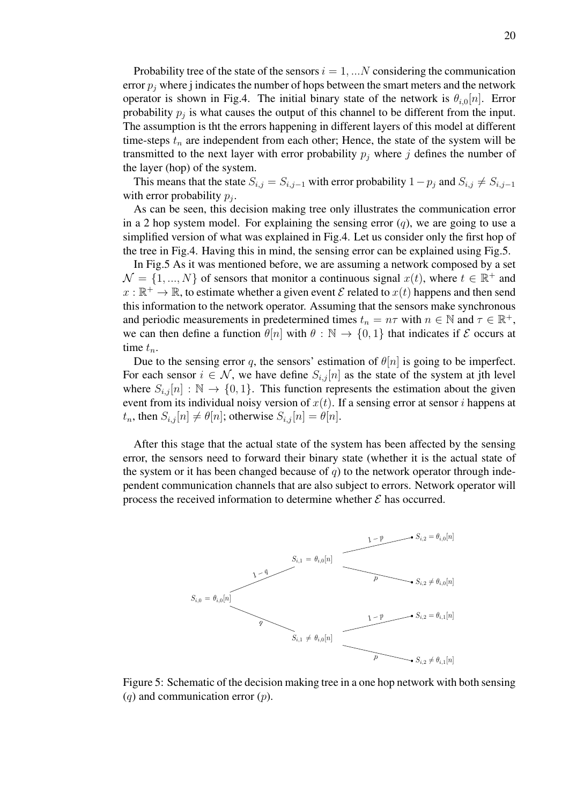Probability tree of the state of the sensors  $i = 1, \dots N$  considering the communication error  $p_j$  where j indicates the number of hops between the smart meters and the network operator is shown in Fig.4. The initial binary state of the network is  $\theta_{i,0}[n]$ . Error probability  $p_j$  is what causes the output of this channel to be different from the input. The assumption is tht the errors happening in different layers of this model at different time-steps  $t_n$  are independent from each other; Hence, the state of the system will be transmitted to the next layer with error probability  $p_i$  where j defines the number of the layer (hop) of the system.

This means that the state  $S_{i,j} = S_{i,j-1}$  with error probability  $1-p_j$  and  $S_{i,j} \neq S_{i,j-1}$ with error probability  $p_j$ .

As can be seen, this decision making tree only illustrates the communication error in a 2 hop system model. For explaining the sensing error  $(q)$ , we are going to use a simplified version of what was explained in Fig.4. Let us consider only the first hop of the tree in Fig.4. Having this in mind, the sensing error can be explained using Fig.5.

In Fig.5 As it was mentioned before, we are assuming a network composed by a set  $\mathcal{N} = \{1, ..., N\}$  of sensors that monitor a continuous signal  $x(t)$ , where  $t \in \mathbb{R}^+$  and  $x : \mathbb{R}^+ \to \mathbb{R}$ , to estimate whether a given event  $\mathcal E$  related to  $x(t)$  happens and then send this information to the network operator. Assuming that the sensors make synchronous and periodic measurements in predetermined times  $t_n = n\tau$  with  $n \in \mathbb{N}$  and  $\tau \in \mathbb{R}^+$ , we can then define a function  $\theta[n]$  with  $\theta : \mathbb{N} \to \{0, 1\}$  that indicates if  $\mathcal E$  occurs at time  $t_n$ .

Due to the sensing error q, the sensors' estimation of  $\theta[n]$  is going to be imperfect. For each sensor  $i \in \mathcal{N}$ , we have define  $S_{i,j}[n]$  as the state of the system at jth level where  $S_{i,j}[n] : \mathbb{N} \to \{0,1\}$ . This function represents the estimation about the given event from its individual noisy version of  $x(t)$ . If a sensing error at sensor i happens at  $t_n$ , then  $S_{i,j}[n] \neq \theta[n]$ ; otherwise  $S_{i,j}[n] = \theta[n]$ .

After this stage that the actual state of the system has been affected by the sensing error, the sensors need to forward their binary state (whether it is the actual state of the system or it has been changed because of  $q$ ) to the network operator through independent communication channels that are also subject to errors. Network operator will process the received information to determine whether  $\mathcal E$  has occurred.



Figure 5: Schematic of the decision making tree in a one hop network with both sensing  $(q)$  and communication error  $(p)$ .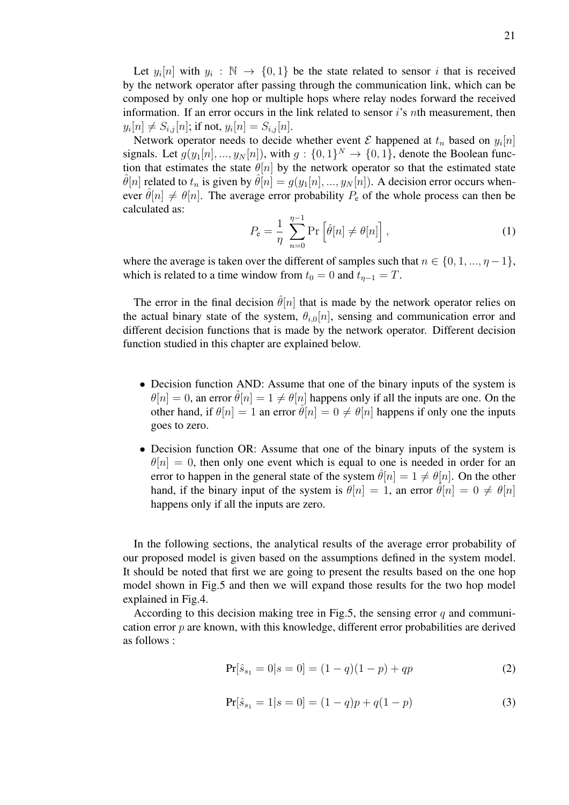Let  $y_i[n]$  with  $y_i : \mathbb{N} \to \{0, 1\}$  be the state related to sensor i that is received by the network operator after passing through the communication link, which can be composed by only one hop or multiple hops where relay nodes forward the received information. If an error occurs in the link related to sensor  $i$ 's nth measurement, then  $y_i[n] \neq S_{i,j}[n]$ ; if not,  $y_i[n] = S_{i,j}[n]$ .

Network operator needs to decide whether event  $\mathcal E$  happened at  $t_n$  based on  $y_i[n]$ signals. Let  $g(y_1[n], ..., y_N[n])$ , with  $g: \{0, 1\}^N \to \{0, 1\}$ , denote the Boolean function that estimates the state  $\theta[n]$  by the network operator so that the estimated state  $\hat{\theta}[n]$  related to  $t_n$  is given by  $\hat{\theta}[n] = g(y_1[n], ..., y_N[n])$ . A decision error occurs whenever  $\hat{\theta}[n] \neq \theta[n]$ . The average error probability  $P_e$  of the whole process can then be calculated as:

$$
P_e = \frac{1}{\eta} \sum_{n=0}^{\eta-1} \Pr\left[\hat{\theta}[n] \neq \theta[n]\right],\tag{1}
$$

where the average is taken over the different of samples such that  $n \in \{0, 1, ..., \eta - 1\}$ , which is related to a time window from  $t_0 = 0$  and  $t_{\eta-1} = T$ .

The error in the final decision  $\hat{\theta}[n]$  that is made by the network operator relies on the actual binary state of the system,  $\theta_{i,0}[n]$ , sensing and communication error and different decision functions that is made by the network operator. Different decision function studied in this chapter are explained below.

- Decision function AND: Assume that one of the binary inputs of the system is  $\theta[n] = 0$ , an error  $\hat{\theta}[n] = 1 \neq \theta[n]$  happens only if all the inputs are one. On the other hand, if  $\theta[n] = 1$  an error  $\hat{\theta}[n] = 0 \neq \theta[n]$  happens if only one the inputs goes to zero.
- Decision function OR: Assume that one of the binary inputs of the system is  $\theta[n] = 0$ , then only one event which is equal to one is needed in order for an error to happen in the general state of the system  $\hat{\theta}[n] = 1 \neq \theta[n]$ . On the other hand, if the binary input of the system is  $\theta[n] = 1$ , an error  $\hat{\theta}[n] = 0 \neq \theta[n]$ happens only if all the inputs are zero.

In the following sections, the analytical results of the average error probability of our proposed model is given based on the assumptions defined in the system model. It should be noted that first we are going to present the results based on the one hop model shown in Fig.5 and then we will expand those results for the two hop model explained in Fig.4.

According to this decision making tree in Fig.5, the sensing error  $q$  and communication error  $p$  are known, with this knowledge, different error probabilities are derived as follows :

$$
\Pr[\hat{s}_{s_1} = 0 | s = 0] = (1 - q)(1 - p) + qp \tag{2}
$$

$$
\Pr[\hat{s}_{s_1} = 1 | s = 0] = (1 - q)p + q(1 - p) \tag{3}
$$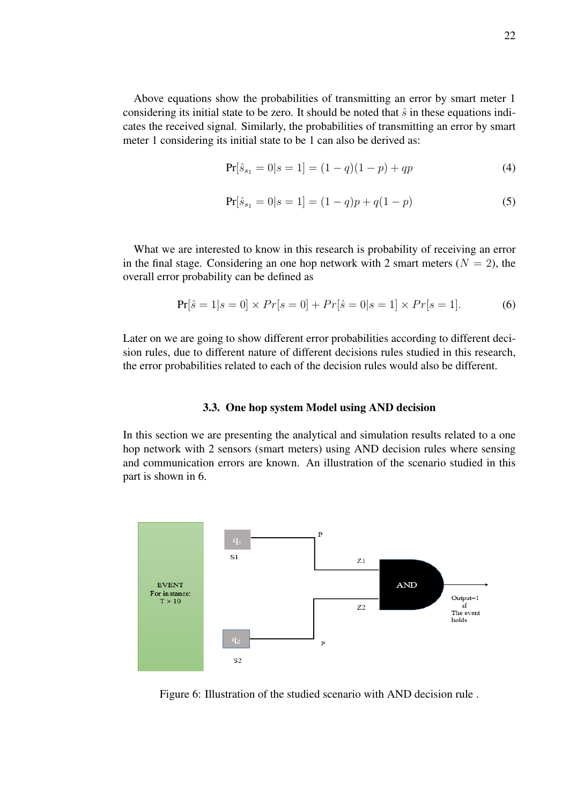Above equations show the probabilities of transmitting an error by smart meter 1 considering its initial state to be zero. It should be noted that  $\hat{s}$  in these equations indicates the received signal. Similarly, the probabilities of transmitting an error by smart meter 1 considering its initial state to be 1 can also be derived as:

$$
\Pr[\hat{s}_{s_1} = 0 | s = 1] = (1 - q)(1 - p) + qp \tag{4}
$$

$$
\Pr[\hat{s}_{s_1} = 0 | s = 1] = (1 - q)p + q(1 - p) \tag{5}
$$

What we are interested to know in this research is probability of receiving an error in the final stage. Considering an one hop network with 2 smart meters  $(N = 2)$ , the overall error probability can be defined as

$$
Pr[\hat{s} = 1 | s = 0] \times Pr[s = 0] + Pr[\hat{s} = 0 | s = 1] \times Pr[s = 1].
$$
 (6)

Later on we are going to show different error probabilities according to different decision rules, due to different nature of different decisions rules studied in this research, the error probabilities related to each of the decision rules would also be different.

#### 3.3. One hop system Model using AND decision

In this section we are presenting the analytical and simulation results related to a one hop network with 2 sensors (smart meters) using AND decision rules where sensing and communication errors are known. An illustration of the scenario studied in this part is shown in 6.



Figure 6: Illustration of the studied scenario with AND decision rule .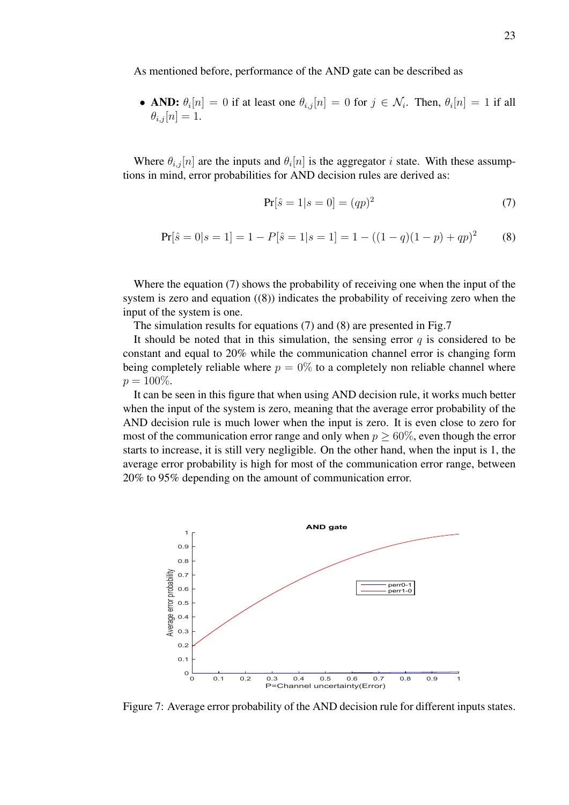As mentioned before, performance of the AND gate can be described as

• AND:  $\theta_i[n] = 0$  if at least one  $\theta_{i,j}[n] = 0$  for  $j \in \mathcal{N}_i$ . Then,  $\theta_i[n] = 1$  if all  $\theta_{i,j}[n] = 1.$ 

Where  $\theta_{i,j}[n]$  are the inputs and  $\theta_i[n]$  is the aggregator i state. With these assumptions in mind, error probabilities for AND decision rules are derived as:

$$
Pr[\hat{s} = 1 | s = 0] = (qp)^2
$$
 (7)

$$
Pr[\hat{s} = 0|s = 1] = 1 - P[\hat{s} = 1|s = 1] = 1 - ((1 - q)(1 - p) + qp)^{2}
$$
(8)

Where the equation (7) shows the probability of receiving one when the input of the system is zero and equation ((8)) indicates the probability of receiving zero when the input of the system is one.

The simulation results for equations (7) and (8) are presented in Fig.7

It should be noted that in this simulation, the sensing error  $q$  is considered to be constant and equal to 20% while the communication channel error is changing form being completely reliable where  $p = 0\%$  to a completely non reliable channel where  $p = 100\%.$ 

It can be seen in this figure that when using AND decision rule, it works much better when the input of the system is zero, meaning that the average error probability of the AND decision rule is much lower when the input is zero. It is even close to zero for most of the communication error range and only when  $p > 60\%$ , even though the error starts to increase, it is still very negligible. On the other hand, when the input is 1, the average error probability is high for most of the communication error range, between 20% to 95% depending on the amount of communication error.



Figure 7: Average error probability of the AND decision rule for different inputs states.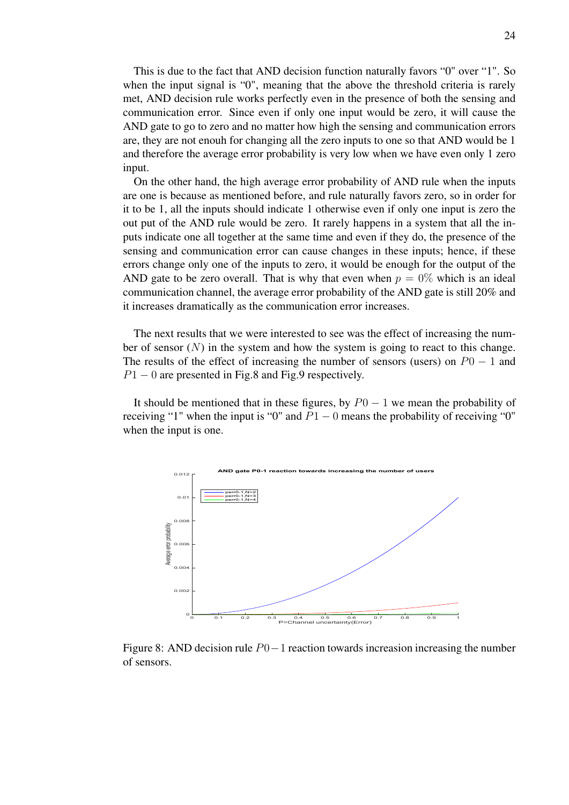This is due to the fact that AND decision function naturally favors "0" over "1". So when the input signal is "0", meaning that the above the threshold criteria is rarely met, AND decision rule works perfectly even in the presence of both the sensing and communication error. Since even if only one input would be zero, it will cause the AND gate to go to zero and no matter how high the sensing and communication errors are, they are not enouh for changing all the zero inputs to one so that AND would be 1 and therefore the average error probability is very low when we have even only 1 zero input.

On the other hand, the high average error probability of AND rule when the inputs are one is because as mentioned before, and rule naturally favors zero, so in order for it to be 1, all the inputs should indicate 1 otherwise even if only one input is zero the out put of the AND rule would be zero. It rarely happens in a system that all the inputs indicate one all together at the same time and even if they do, the presence of the sensing and communication error can cause changes in these inputs; hence, if these errors change only one of the inputs to zero, it would be enough for the output of the AND gate to be zero overall. That is why that even when  $p = 0\%$  which is an ideal communication channel, the average error probability of the AND gate is still 20% and it increases dramatically as the communication error increases.

The next results that we were interested to see was the effect of increasing the number of sensor  $(N)$  in the system and how the system is going to react to this change. The results of the effect of increasing the number of sensors (users) on  $P_0 - 1$  and  $P1 - 0$  are presented in Fig.8 and Fig.9 respectively.

It should be mentioned that in these figures, by  $P0 - 1$  we mean the probability of receiving "1" when the input is "0" and  $P1 - 0$  means the probability of receiving "0" when the input is one.



Figure 8: AND decision rule P0−1 reaction towards increasion increasing the number of sensors.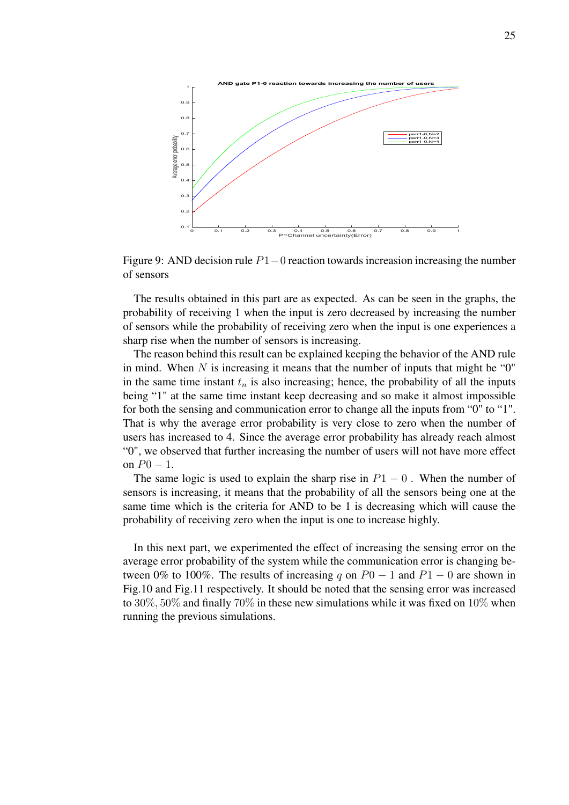

Figure 9: AND decision rule P1−0 reaction towards increasion increasing the number of sensors

The results obtained in this part are as expected. As can be seen in the graphs, the probability of receiving 1 when the input is zero decreased by increasing the number of sensors while the probability of receiving zero when the input is one experiences a sharp rise when the number of sensors is increasing.

The reason behind this result can be explained keeping the behavior of the AND rule in mind. When  $N$  is increasing it means that the number of inputs that might be " $0$ " in the same time instant  $t_n$  is also increasing; hence, the probability of all the inputs being "1" at the same time instant keep decreasing and so make it almost impossible for both the sensing and communication error to change all the inputs from "0" to "1". That is why the average error probability is very close to zero when the number of users has increased to 4. Since the average error probability has already reach almost "0", we observed that further increasing the number of users will not have more effect on  $P0 - 1$ .

The same logic is used to explain the sharp rise in  $P1 - 0$ . When the number of sensors is increasing, it means that the probability of all the sensors being one at the same time which is the criteria for AND to be 1 is decreasing which will cause the probability of receiving zero when the input is one to increase highly.

In this next part, we experimented the effect of increasing the sensing error on the average error probability of the system while the communication error is changing between 0% to 100%. The results of increasing q on  $P0 - 1$  and  $P1 - 0$  are shown in Fig.10 and Fig.11 respectively. It should be noted that the sensing error was increased to 30%, 50% and finally 70% in these new simulations while it was fixed on 10% when running the previous simulations.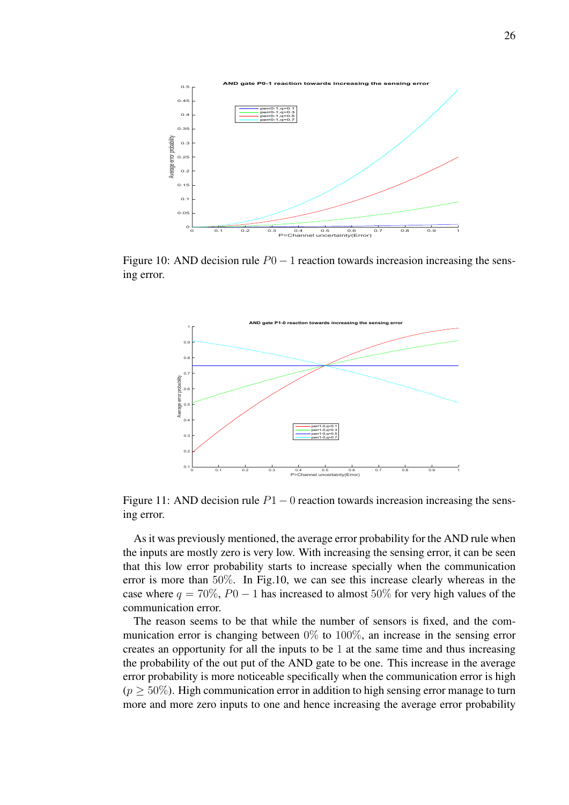

Figure 10: AND decision rule  $P0 - 1$  reaction towards increasion increasing the sensing error.



Figure 11: AND decision rule  $P1 - 0$  reaction towards increasion increasing the sensing error.

As it was previously mentioned, the average error probability for the AND rule when the inputs are mostly zero is very low. With increasing the sensing error, it can be seen that this low error probability starts to increase specially when the communication error is more than 50%. In Fig.10, we can see this increase clearly whereas in the case where  $q = 70\%$ ,  $P0 - 1$  has increased to almost 50% for very high values of the communication error.

The reason seems to be that while the number of sensors is fixed, and the communication error is changing between 0% to 100%, an increase in the sensing error creates an opportunity for all the inputs to be 1 at the same time and thus increasing the probability of the out put of the AND gate to be one. This increase in the average error probability is more noticeable specifically when the communication error is high  $(p \geq 50\%)$ . High communication error in addition to high sensing error manage to turn more and more zero inputs to one and hence increasing the average error probability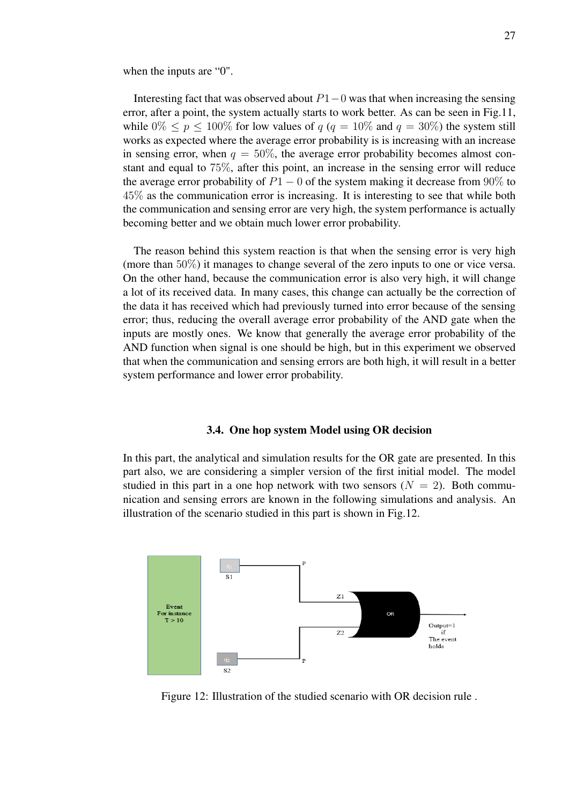when the inputs are "0".

Interesting fact that was observed about  $P1-0$  was that when increasing the sensing error, after a point, the system actually starts to work better. As can be seen in Fig.11, while  $0\% \leq p \leq 100\%$  for low values of  $q (q = 10\% \text{ and } q = 30\%)$  the system still works as expected where the average error probability is is increasing with an increase in sensing error, when  $q = 50\%$ , the average error probability becomes almost constant and equal to 75%, after this point, an increase in the sensing error will reduce the average error probability of  $P1 - 0$  of the system making it decrease from 90% to 45% as the communication error is increasing. It is interesting to see that while both the communication and sensing error are very high, the system performance is actually becoming better and we obtain much lower error probability.

The reason behind this system reaction is that when the sensing error is very high (more than 50%) it manages to change several of the zero inputs to one or vice versa. On the other hand, because the communication error is also very high, it will change a lot of its received data. In many cases, this change can actually be the correction of the data it has received which had previously turned into error because of the sensing error; thus, reducing the overall average error probability of the AND gate when the inputs are mostly ones. We know that generally the average error probability of the AND function when signal is one should be high, but in this experiment we observed that when the communication and sensing errors are both high, it will result in a better system performance and lower error probability.

#### 3.4. One hop system Model using OR decision

In this part, the analytical and simulation results for the OR gate are presented. In this part also, we are considering a simpler version of the first initial model. The model studied in this part in a one hop network with two sensors  $(N = 2)$ . Both communication and sensing errors are known in the following simulations and analysis. An illustration of the scenario studied in this part is shown in Fig.12.



Figure 12: Illustration of the studied scenario with OR decision rule .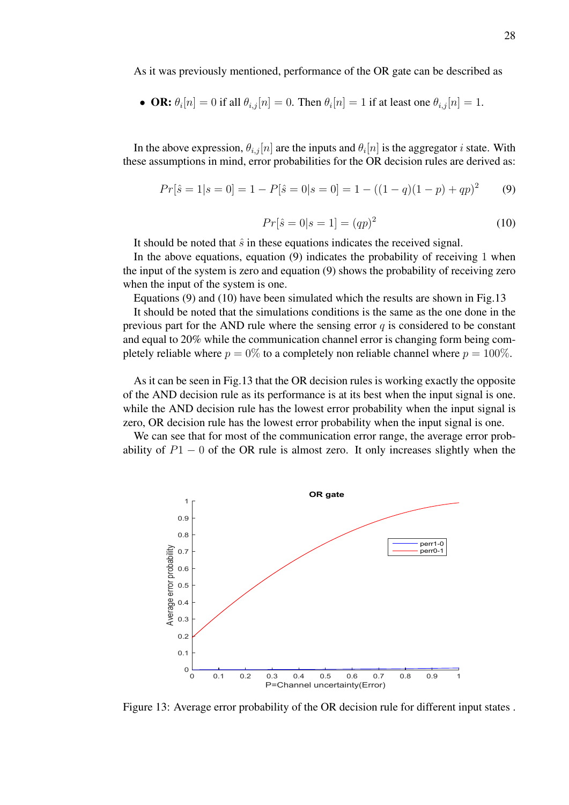As it was previously mentioned, performance of the OR gate can be described as

• **OR:** 
$$
\theta_i[n] = 0
$$
 if all  $\theta_{i,j}[n] = 0$ . Then  $\theta_i[n] = 1$  if at least one  $\theta_{i,j}[n] = 1$ .

In the above expression,  $\theta_{i,j}[n]$  are the inputs and  $\theta_i[n]$  is the aggregator *i* state. With these assumptions in mind, error probabilities for the OR decision rules are derived as:

$$
Pr[\hat{s} = 1 | s = 0] = 1 - P[\hat{s} = 0 | s = 0] = 1 - ((1 - q)(1 - p) + qp)^{2}
$$
(9)

$$
Pr[\hat{s} = 0|s = 1] = (qp)^2
$$
\n(10)

It should be noted that  $\hat{s}$  in these equations indicates the received signal.

In the above equations, equation  $(9)$  indicates the probability of receiving 1 when the input of the system is zero and equation (9) shows the probability of receiving zero when the input of the system is one.

Equations (9) and (10) have been simulated which the results are shown in Fig.13

It should be noted that the simulations conditions is the same as the one done in the previous part for the AND rule where the sensing error  $q$  is considered to be constant and equal to 20% while the communication channel error is changing form being completely reliable where  $p = 0\%$  to a completely non reliable channel where  $p = 100\%$ .

As it can be seen in Fig.13 that the OR decision rules is working exactly the opposite of the AND decision rule as its performance is at its best when the input signal is one. while the AND decision rule has the lowest error probability when the input signal is zero, OR decision rule has the lowest error probability when the input signal is one.

We can see that for most of the communication error range, the average error probability of  $P1 - 0$  of the OR rule is almost zero. It only increases slightly when the



Figure 13: Average error probability of the OR decision rule for different input states .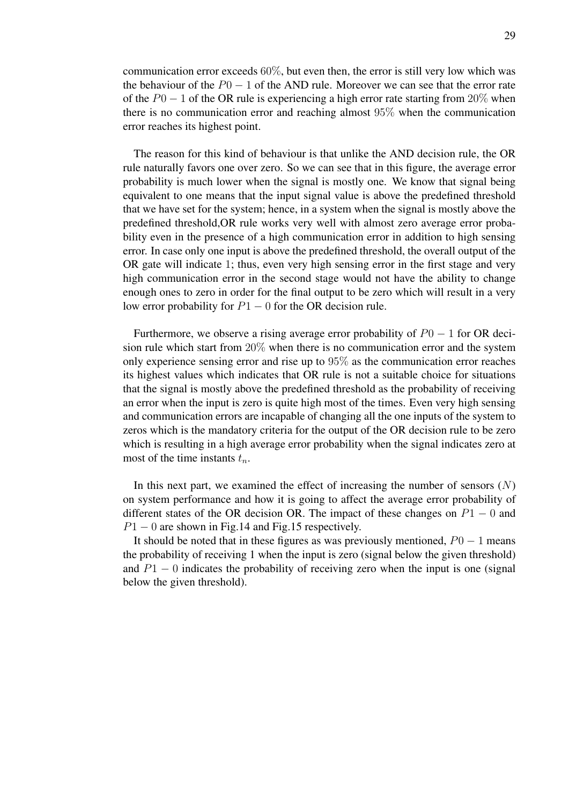communication error exceeds 60%, but even then, the error is still very low which was the behaviour of the  $P0 - 1$  of the AND rule. Moreover we can see that the error rate of the  $P0 - 1$  of the OR rule is experiencing a high error rate starting from 20% when there is no communication error and reaching almost 95% when the communication error reaches its highest point.

The reason for this kind of behaviour is that unlike the AND decision rule, the OR rule naturally favors one over zero. So we can see that in this figure, the average error probability is much lower when the signal is mostly one. We know that signal being equivalent to one means that the input signal value is above the predefined threshold that we have set for the system; hence, in a system when the signal is mostly above the predefined threshold,OR rule works very well with almost zero average error probability even in the presence of a high communication error in addition to high sensing error. In case only one input is above the predefined threshold, the overall output of the OR gate will indicate 1; thus, even very high sensing error in the first stage and very high communication error in the second stage would not have the ability to change enough ones to zero in order for the final output to be zero which will result in a very low error probability for  $P1 - 0$  for the OR decision rule.

Furthermore, we observe a rising average error probability of  $P0 - 1$  for OR decision rule which start from 20% when there is no communication error and the system only experience sensing error and rise up to 95% as the communication error reaches its highest values which indicates that OR rule is not a suitable choice for situations that the signal is mostly above the predefined threshold as the probability of receiving an error when the input is zero is quite high most of the times. Even very high sensing and communication errors are incapable of changing all the one inputs of the system to zeros which is the mandatory criteria for the output of the OR decision rule to be zero which is resulting in a high average error probability when the signal indicates zero at most of the time instants  $t_n$ .

In this next part, we examined the effect of increasing the number of sensors  $(N)$ on system performance and how it is going to affect the average error probability of different states of the OR decision OR. The impact of these changes on  $P1 - 0$  and  $P1 - 0$  are shown in Fig.14 and Fig.15 respectively.

It should be noted that in these figures as was previously mentioned,  $P_0 - 1$  means the probability of receiving 1 when the input is zero (signal below the given threshold) and  $P1 - 0$  indicates the probability of receiving zero when the input is one (signal below the given threshold).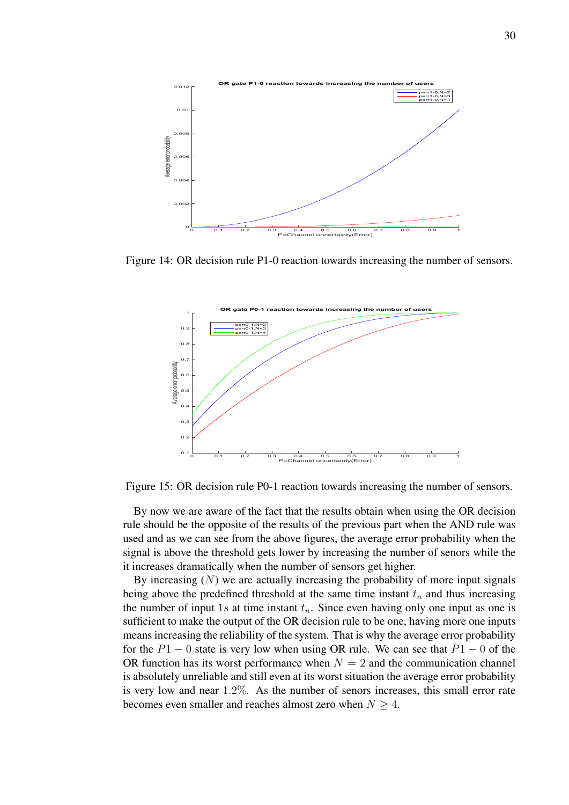

Figure 14: OR decision rule P1-0 reaction towards increasing the number of sensors.



Figure 15: OR decision rule P0-1 reaction towards increasing the number of sensors.

By now we are aware of the fact that the results obtain when using the OR decision rule should be the opposite of the results of the previous part when the AND rule was used and as we can see from the above figures, the average error probability when the signal is above the threshold gets lower by increasing the number of senors while the it increases dramatically when the number of sensors get higher.

By increasing  $(N)$  we are actually increasing the probability of more input signals being above the predefined threshold at the same time instant  $t_n$  and thus increasing the number of input 1s at time instant  $t_n$ . Since even having only one input as one is sufficient to make the output of the OR decision rule to be one, having more one inputs means increasing the reliability of the system. That is why the average error probability for the  $P1 - 0$  state is very low when using OR rule. We can see that  $P1 - 0$  of the OR function has its worst performance when  $N = 2$  and the communication channel is absolutely unreliable and still even at its worst situation the average error probability is very low and near 1.2%. As the number of senors increases, this small error rate becomes even smaller and reaches almost zero when  $N \geq 4$ .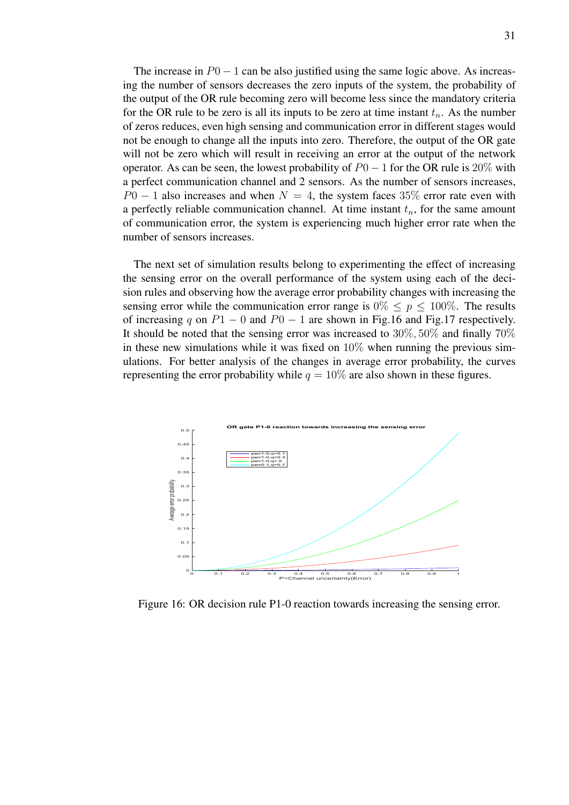The increase in  $P0 - 1$  can be also justified using the same logic above. As increasing the number of sensors decreases the zero inputs of the system, the probability of the output of the OR rule becoming zero will become less since the mandatory criteria for the OR rule to be zero is all its inputs to be zero at time instant  $t_n$ . As the number of zeros reduces, even high sensing and communication error in different stages would not be enough to change all the inputs into zero. Therefore, the output of the OR gate will not be zero which will result in receiving an error at the output of the network operator. As can be seen, the lowest probability of  $P0 - 1$  for the OR rule is 20% with a perfect communication channel and 2 sensors. As the number of sensors increases,  $P0 - 1$  also increases and when  $N = 4$ , the system faces 35% error rate even with a perfectly reliable communication channel. At time instant  $t_n$ , for the same amount of communication error, the system is experiencing much higher error rate when the number of sensors increases.

The next set of simulation results belong to experimenting the effect of increasing the sensing error on the overall performance of the system using each of the decision rules and observing how the average error probability changes with increasing the sensing error while the communication error range is  $0\% \leq p \leq 100\%$ . The results of increasing q on  $P1 - 0$  and  $P0 - 1$  are shown in Fig.16 and Fig.17 respectively. It should be noted that the sensing error was increased to 30%, 50% and finally 70% in these new simulations while it was fixed on  $10\%$  when running the previous simulations. For better analysis of the changes in average error probability, the curves representing the error probability while  $q = 10\%$  are also shown in these figures.



Figure 16: OR decision rule P1-0 reaction towards increasing the sensing error.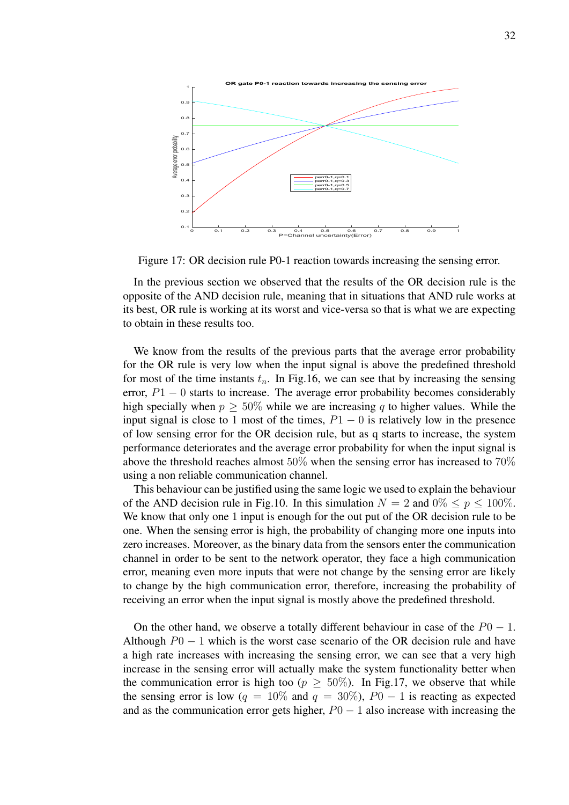

Figure 17: OR decision rule P0-1 reaction towards increasing the sensing error.

In the previous section we observed that the results of the OR decision rule is the opposite of the AND decision rule, meaning that in situations that AND rule works at its best, OR rule is working at its worst and vice-versa so that is what we are expecting to obtain in these results too.

We know from the results of the previous parts that the average error probability for the OR rule is very low when the input signal is above the predefined threshold for most of the time instants  $t_n$ . In Fig.16, we can see that by increasing the sensing error,  $P1 - 0$  starts to increase. The average error probability becomes considerably high specially when  $p \geq 50\%$  while we are increasing q to higher values. While the input signal is close to 1 most of the times,  $P1 - 0$  is relatively low in the presence of low sensing error for the OR decision rule, but as q starts to increase, the system performance deteriorates and the average error probability for when the input signal is above the threshold reaches almost 50% when the sensing error has increased to 70% using a non reliable communication channel.

This behaviour can be justified using the same logic we used to explain the behaviour of the AND decision rule in Fig.10. In this simulation  $N = 2$  and  $0\% \le p \le 100\%$ . We know that only one 1 input is enough for the out put of the OR decision rule to be one. When the sensing error is high, the probability of changing more one inputs into zero increases. Moreover, as the binary data from the sensors enter the communication channel in order to be sent to the network operator, they face a high communication error, meaning even more inputs that were not change by the sensing error are likely to change by the high communication error, therefore, increasing the probability of receiving an error when the input signal is mostly above the predefined threshold.

On the other hand, we observe a totally different behaviour in case of the  $P0 - 1$ . Although  $P0 - 1$  which is the worst case scenario of the OR decision rule and have a high rate increases with increasing the sensing error, we can see that a very high increase in the sensing error will actually make the system functionality better when the communication error is high too ( $p \geq 50\%$ ). In Fig.17, we observe that while the sensing error is low ( $q = 10\%$  and  $q = 30\%$ ),  $P_0 - 1$  is reacting as expected and as the communication error gets higher,  $P0 - 1$  also increase with increasing the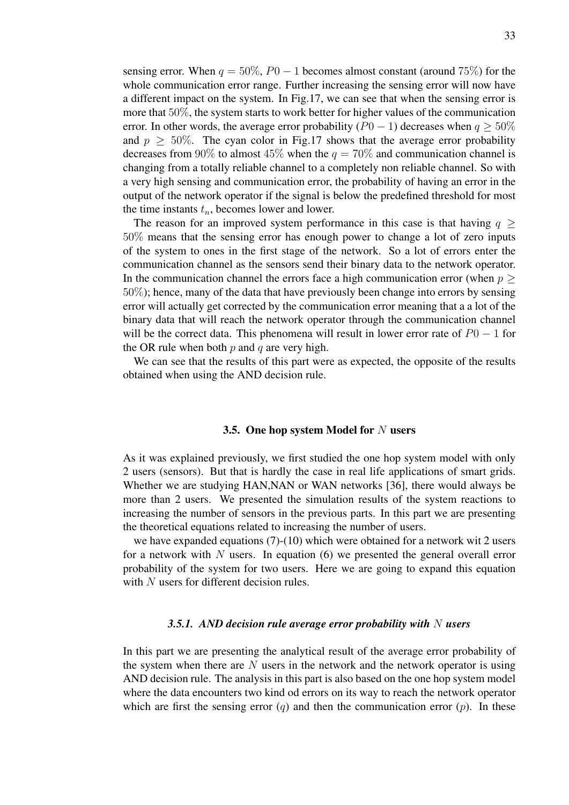sensing error. When  $q = 50\%, P0 - 1$  becomes almost constant (around 75%) for the whole communication error range. Further increasing the sensing error will now have a different impact on the system. In Fig.17, we can see that when the sensing error is more that 50%, the system starts to work better for higher values of the communication error. In other words, the average error probability ( $P0 - 1$ ) decreases when  $q \ge 50\%$ and  $p \geq 50\%$ . The cyan color in Fig.17 shows that the average error probability decreases from 90% to almost 45% when the  $q = 70\%$  and communication channel is changing from a totally reliable channel to a completely non reliable channel. So with a very high sensing and communication error, the probability of having an error in the output of the network operator if the signal is below the predefined threshold for most the time instants  $t_n$ , becomes lower and lower.

The reason for an improved system performance in this case is that having  $q \ge$ 50% means that the sensing error has enough power to change a lot of zero inputs of the system to ones in the first stage of the network. So a lot of errors enter the communication channel as the sensors send their binary data to the network operator. In the communication channel the errors face a high communication error (when  $p \geq$ 50%); hence, many of the data that have previously been change into errors by sensing error will actually get corrected by the communication error meaning that a a lot of the binary data that will reach the network operator through the communication channel will be the correct data. This phenomena will result in lower error rate of  $P_0 - 1$  for the OR rule when both  $p$  and  $q$  are very high.

We can see that the results of this part were as expected, the opposite of the results obtained when using the AND decision rule.

#### 3.5. One hop system Model for  $N$  users

As it was explained previously, we first studied the one hop system model with only 2 users (sensors). But that is hardly the case in real life applications of smart grids. Whether we are studying HAN,NAN or WAN networks [36], there would always be more than 2 users. We presented the simulation results of the system reactions to increasing the number of sensors in the previous parts. In this part we are presenting the theoretical equations related to increasing the number of users.

we have expanded equations (7)-(10) which were obtained for a network wit 2 users for a network with N users. In equation  $(6)$  we presented the general overall error probability of the system for two users. Here we are going to expand this equation with N users for different decision rules.

#### *3.5.1. AND decision rule average error probability with* N *users*

In this part we are presenting the analytical result of the average error probability of the system when there are  $N$  users in the network and the network operator is using AND decision rule. The analysis in this part is also based on the one hop system model where the data encounters two kind od errors on its way to reach the network operator which are first the sensing error  $(q)$  and then the communication error  $(p)$ . In these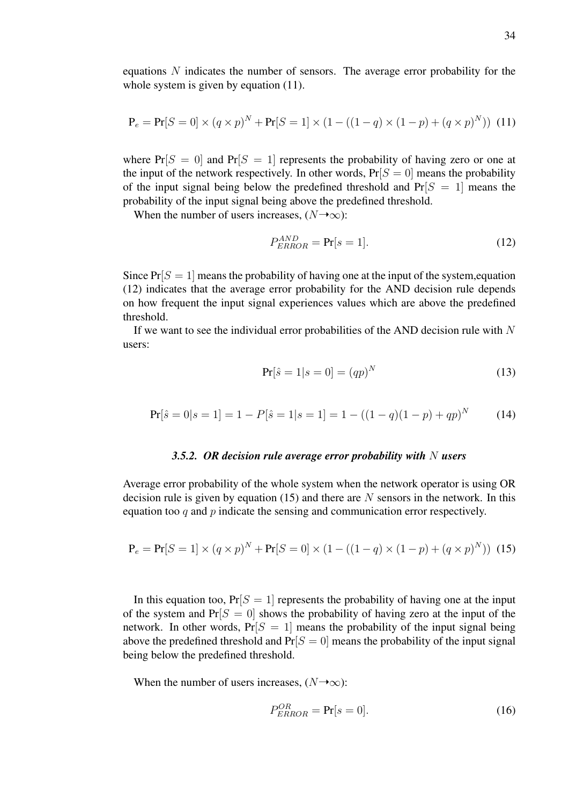equations N indicates the number of sensors. The average error probability for the whole system is given by equation  $(11)$ .

$$
\mathbf{P}_e = \mathbf{Pr}[S=0] \times (q \times p)^N + \mathbf{Pr}[S=1] \times (1 - ((1 - q) \times (1 - p) + (q \times p)^N)) \tag{11}
$$

where  $Pr[S = 0]$  and  $Pr[S = 1]$  represents the probability of having zero or one at the input of the network respectively. In other words,  $Pr[S = 0]$  means the probability of the input signal being below the predefined threshold and  $Pr[S = 1]$  means the probability of the input signal being above the predefined threshold.

When the number of users increases,  $(N \rightarrow \infty)$ :

$$
P_{ERROR}^{AND} = \Pr[s=1]. \tag{12}
$$

Since  $Pr[S = 1]$  means the probability of having one at the input of the system, equation (12) indicates that the average error probability for the AND decision rule depends on how frequent the input signal experiences values which are above the predefined threshold.

If we want to see the individual error probabilities of the AND decision rule with  $N$ users:

$$
Pr[\hat{s} = 1 | s = 0] = (qp)^N
$$
 (13)

$$
Pr[\hat{s} = 0|s = 1] = 1 - P[\hat{s} = 1|s = 1] = 1 - ((1 - q)(1 - p) + qp)^{N}
$$
(14)

#### *3.5.2. OR decision rule average error probability with* N *users*

Average error probability of the whole system when the network operator is using OR decision rule is given by equation  $(15)$  and there are N sensors in the network. In this equation too  $q$  and  $p$  indicate the sensing and communication error respectively.

$$
\mathbf{P}_e = \mathbf{Pr}[S=1] \times (q \times p)^N + \mathbf{Pr}[S=0] \times (1 - ((1 - q) \times (1 - p) + (q \times p)^N)) \tag{15}
$$

In this equation too,  $Pr[S = 1]$  represents the probability of having one at the input of the system and  $Pr[S = 0]$  shows the probability of having zero at the input of the network. In other words,  $Pr[S = 1]$  means the probability of the input signal being above the predefined threshold and  $Pr[S = 0]$  means the probability of the input signal being below the predefined threshold.

When the number of users increases,  $(N \rightarrow \infty)$ :

$$
P_{ERROR}^{OR} = \Pr[s = 0].
$$
\n(16)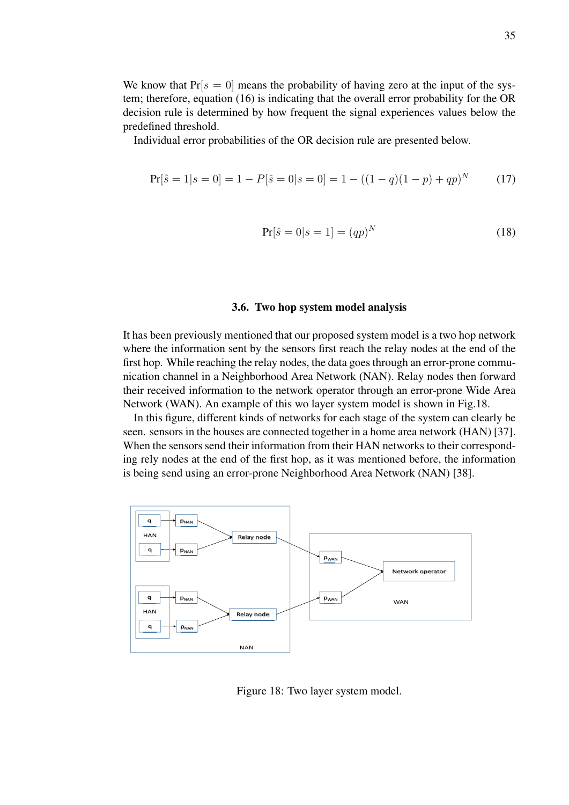We know that  $Pr[s = 0]$  means the probability of having zero at the input of the system; therefore, equation (16) is indicating that the overall error probability for the OR decision rule is determined by how frequent the signal experiences values below the predefined threshold.

Individual error probabilities of the OR decision rule are presented below.

$$
Pr[\hat{s} = 1 | s = 0] = 1 - P[\hat{s} = 0 | s = 0] = 1 - ((1 - q)(1 - p) + qp)^{N}
$$
(17)

$$
Pr[\hat{s} = 0|s = 1] = (qp)^N
$$
\n(18)

#### 3.6. Two hop system model analysis

It has been previously mentioned that our proposed system model is a two hop network where the information sent by the sensors first reach the relay nodes at the end of the first hop. While reaching the relay nodes, the data goes through an error-prone communication channel in a Neighborhood Area Network (NAN). Relay nodes then forward their received information to the network operator through an error-prone Wide Area Network (WAN). An example of this wo layer system model is shown in Fig.18.

In this figure, different kinds of networks for each stage of the system can clearly be seen. sensors in the houses are connected together in a home area network (HAN) [37]. When the sensors send their information from their HAN networks to their corresponding rely nodes at the end of the first hop, as it was mentioned before, the information is being send using an error-prone Neighborhood Area Network (NAN) [38].



Figure 18: Two layer system model.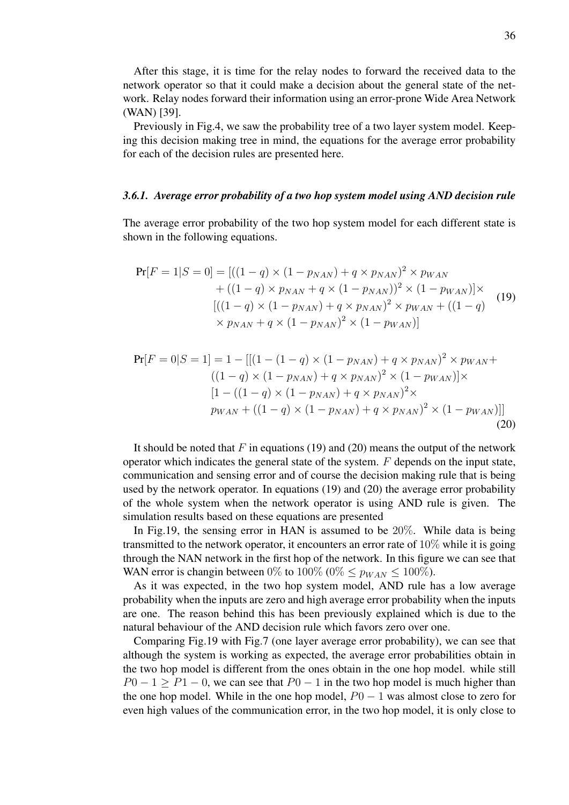After this stage, it is time for the relay nodes to forward the received data to the network operator so that it could make a decision about the general state of the network. Relay nodes forward their information using an error-prone Wide Area Network (WAN) [39].

Previously in Fig.4, we saw the probability tree of a two layer system model. Keeping this decision making tree in mind, the equations for the average error probability for each of the decision rules are presented here.

#### *3.6.1. Average error probability of a two hop system model using AND decision rule*

The average error probability of the two hop system model for each different state is shown in the following equations.

$$
\Pr[F = 1|S = 0] = [((1 - q) \times (1 - p_{NAN}) + q \times p_{NAN})^2 \times p_{WAN} + ((1 - q) \times p_{NAN} + q \times (1 - p_{NAN}))^2 \times (1 - p_{WAN})] \times [((1 - q) \times (1 - p_{NAN}) + q \times p_{NAN})^2 \times p_{WAN} + ((1 - q) \times p_{NAN} + q \times (1 - p_{NAN})^2 \times (1 - p_{WAN})]
$$
\n(19)

$$
\Pr[F = 0|S = 1] = 1 - [[(1 - (1 - q) \times (1 - p_{NAN}) + q \times p_{NAN})^2 \times p_{WAN} + ((1 - q) \times (1 - p_{NAN}) + q \times p_{NAN})^2 \times (1 - p_{WAN})] \times
$$
  
\n
$$
[1 - ((1 - q) \times (1 - p_{NAN}) + q \times p_{NAN})^2 \times
$$
  
\n
$$
p_{WAN} + ((1 - q) \times (1 - p_{NAN}) + q \times p_{NAN})^2 \times (1 - p_{WAN})]]
$$
\n(20)

It should be noted that  $F$  in equations (19) and (20) means the output of the network operator which indicates the general state of the system.  $F$  depends on the input state, communication and sensing error and of course the decision making rule that is being used by the network operator. In equations (19) and (20) the average error probability of the whole system when the network operator is using AND rule is given. The simulation results based on these equations are presented

In Fig.19, the sensing error in HAN is assumed to be 20%. While data is being transmitted to the network operator, it encounters an error rate of 10% while it is going through the NAN network in the first hop of the network. In this figure we can see that WAN error is changin between 0% to 100% (0%  $\lt p_{WAN} \lt 100\%$ ).

As it was expected, in the two hop system model, AND rule has a low average probability when the inputs are zero and high average error probability when the inputs are one. The reason behind this has been previously explained which is due to the natural behaviour of the AND decision rule which favors zero over one.

Comparing Fig.19 with Fig.7 (one layer average error probability), we can see that although the system is working as expected, the average error probabilities obtain in the two hop model is different from the ones obtain in the one hop model. while still  $P0-1 \geq P1-0$ , we can see that  $P0-1$  in the two hop model is much higher than the one hop model. While in the one hop model,  $P0 - 1$  was almost close to zero for even high values of the communication error, in the two hop model, it is only close to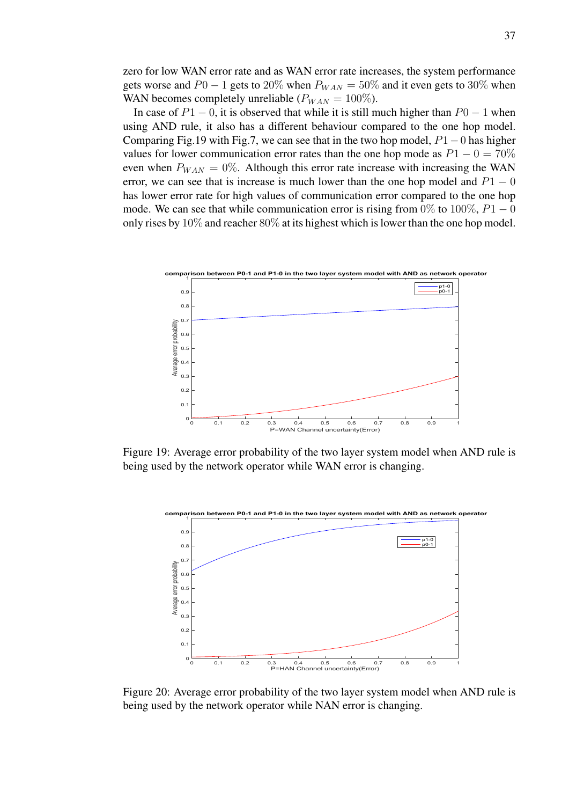zero for low WAN error rate and as WAN error rate increases, the system performance gets worse and  $P0 - 1$  gets to 20% when  $P_{WAN} = 50\%$  and it even gets to 30% when WAN becomes completely unreliable ( $P_{WAN} = 100\%$ ).

In case of  $P1 - 0$ , it is observed that while it is still much higher than  $P0 - 1$  when using AND rule, it also has a different behaviour compared to the one hop model. Comparing Fig.19 with Fig.7, we can see that in the two hop model, P1−0 has higher values for lower communication error rates than the one hop mode as  $P1 - 0 = 70\%$ even when  $P_{WAN} = 0\%$ . Although this error rate increase with increasing the WAN error, we can see that is increase is much lower than the one hop model and  $P1 - 0$ has lower error rate for high values of communication error compared to the one hop mode. We can see that while communication error is rising from 0% to 100%,  $P1 - 0$ only rises by  $10\%$  and reacher  $80\%$  at its highest which is lower than the one hop model.



Figure 19: Average error probability of the two layer system model when AND rule is being used by the network operator while WAN error is changing.



Figure 20: Average error probability of the two layer system model when AND rule is being used by the network operator while NAN error is changing.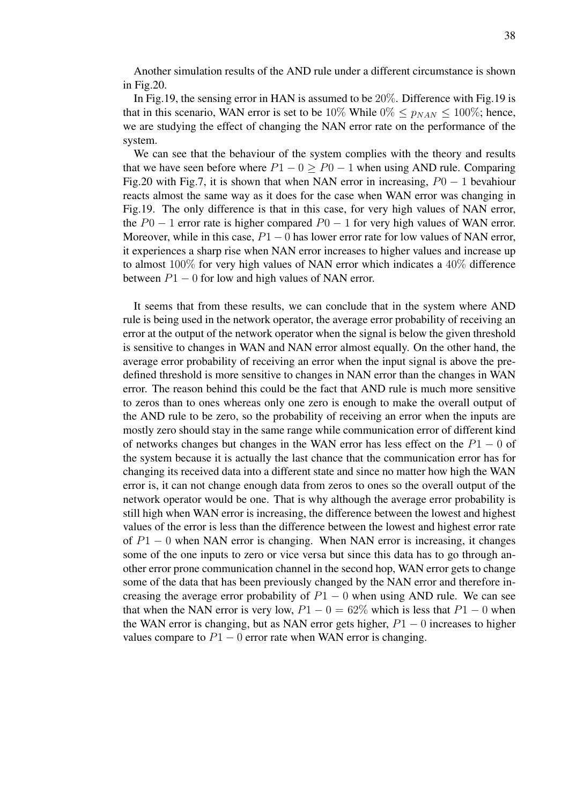Another simulation results of the AND rule under a different circumstance is shown in Fig.20.

In Fig.19, the sensing error in HAN is assumed to be 20%. Difference with Fig.19 is that in this scenario, WAN error is set to be 10% While  $0\% \le p_{NAN} \le 100\%$ ; hence, we are studying the effect of changing the NAN error rate on the performance of the system.

We can see that the behaviour of the system complies with the theory and results that we have seen before where  $P1 - 0 > P0 - 1$  when using AND rule. Comparing Fig.20 with Fig.7, it is shown that when NAN error in increasing,  $P0 - 1$  bevahiour reacts almost the same way as it does for the case when WAN error was changing in Fig.19. The only difference is that in this case, for very high values of NAN error, the  $P0 - 1$  error rate is higher compared  $P0 - 1$  for very high values of WAN error. Moreover, while in this case,  $P1 - 0$  has lower error rate for low values of NAN error, it experiences a sharp rise when NAN error increases to higher values and increase up to almost 100% for very high values of NAN error which indicates a 40% difference between  $P1 - 0$  for low and high values of NAN error.

It seems that from these results, we can conclude that in the system where AND rule is being used in the network operator, the average error probability of receiving an error at the output of the network operator when the signal is below the given threshold is sensitive to changes in WAN and NAN error almost equally. On the other hand, the average error probability of receiving an error when the input signal is above the predefined threshold is more sensitive to changes in NAN error than the changes in WAN error. The reason behind this could be the fact that AND rule is much more sensitive to zeros than to ones whereas only one zero is enough to make the overall output of the AND rule to be zero, so the probability of receiving an error when the inputs are mostly zero should stay in the same range while communication error of different kind of networks changes but changes in the WAN error has less effect on the  $P1 - 0$  of the system because it is actually the last chance that the communication error has for changing its received data into a different state and since no matter how high the WAN error is, it can not change enough data from zeros to ones so the overall output of the network operator would be one. That is why although the average error probability is still high when WAN error is increasing, the difference between the lowest and highest values of the error is less than the difference between the lowest and highest error rate of  $P_1$  – 0 when NAN error is changing. When NAN error is increasing, it changes some of the one inputs to zero or vice versa but since this data has to go through another error prone communication channel in the second hop, WAN error gets to change some of the data that has been previously changed by the NAN error and therefore increasing the average error probability of  $P1 - 0$  when using AND rule. We can see that when the NAN error is very low,  $P1 - 0 = 62\%$  which is less that  $P1 - 0$  when the WAN error is changing, but as NAN error gets higher,  $P1 - 0$  increases to higher values compare to  $P1 - 0$  error rate when WAN error is changing.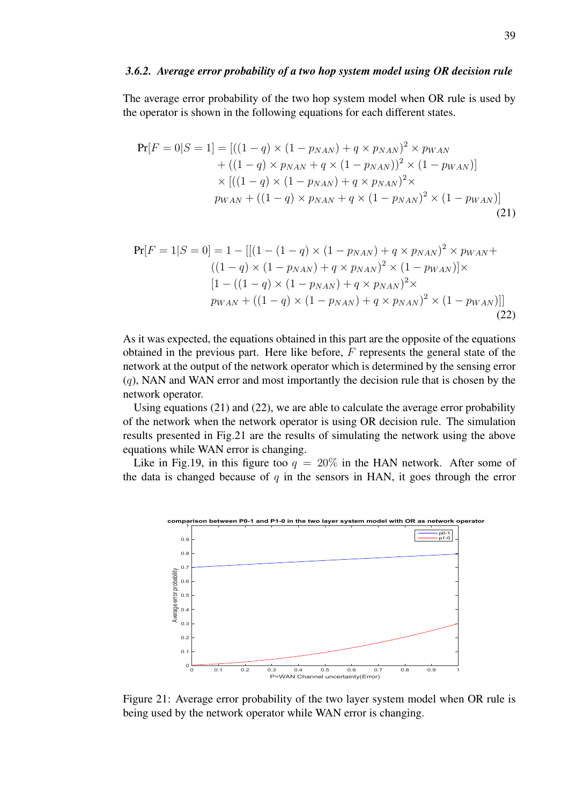#### *3.6.2. Average error probability of a two hop system model using OR decision rule*

The average error probability of the two hop system model when OR rule is used by the operator is shown in the following equations for each different states.

$$
\Pr[F = 0|S = 1] = [((1 - q) \times (1 - p_{NAN}) + q \times p_{NAN})^2 \times p_{WAN} + ((1 - q) \times p_{NAN} + q \times (1 - p_{NAN}))^2 \times (1 - p_{WAN})] \times [((1 - q) \times (1 - p_{NAN}) + q \times p_{NAN})^2 \times p_{WAN} + ((1 - q) \times p_{NAN} + q \times (1 - p_{NAN})^2 \times (1 - p_{WAN})]
$$
\n(21)

$$
\Pr[F = 1|S = 0] = 1 - [[(1 - (1 - q) \times (1 - p_{NAN}) + q \times p_{NAN})^2 \times p_{WAN} + ((1 - q) \times (1 - p_{NAN}) + q \times p_{NAN})^2 \times (1 - p_{WAN})] \times
$$
  
\n
$$
[1 - ((1 - q) \times (1 - p_{NAN}) + q \times p_{NAN})^2 \times
$$
  
\n
$$
p_{WAN} + ((1 - q) \times (1 - p_{NAN}) + q \times p_{NAN})^2 \times (1 - p_{WAN})]]
$$
\n(22)

As it was expected, the equations obtained in this part are the opposite of the equations obtained in the previous part. Here like before,  $F$  represents the general state of the network at the output of the network operator which is determined by the sensing error  $(q)$ , NAN and WAN error and most importantly the decision rule that is chosen by the network operator.

Using equations (21) and (22), we are able to calculate the average error probability of the network when the network operator is using OR decision rule. The simulation results presented in Fig.21 are the results of simulating the network using the above equations while WAN error is changing.

Like in Fig.19, in this figure too  $q = 20\%$  in the HAN network. After some of the data is changed because of  $q$  in the sensors in HAN, it goes through the error



Figure 21: Average error probability of the two layer system model when OR rule is being used by the network operator while WAN error is changing.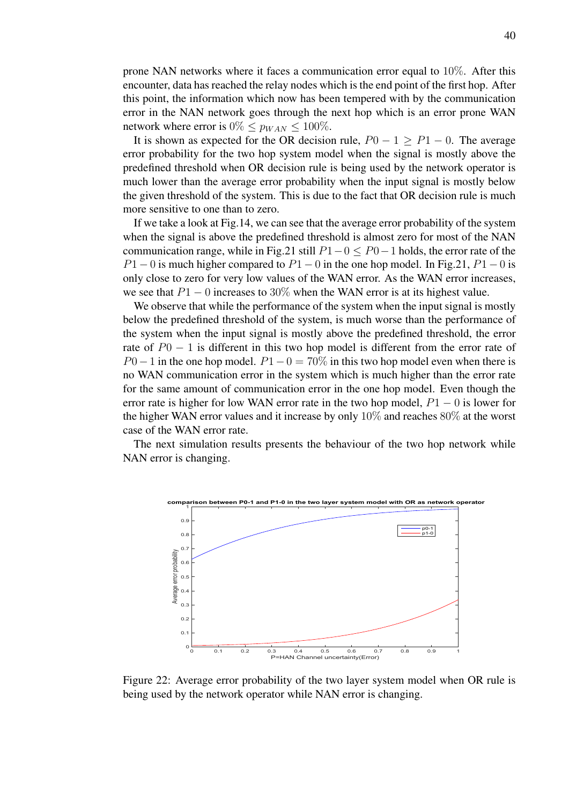prone NAN networks where it faces a communication error equal to 10%. After this encounter, data has reached the relay nodes which is the end point of the first hop. After this point, the information which now has been tempered with by the communication error in the NAN network goes through the next hop which is an error prone WAN network where error is  $0\% \leq p_{WAN} \leq 100\%.$ 

It is shown as expected for the OR decision rule,  $P0 - 1 > P1 - 0$ . The average error probability for the two hop system model when the signal is mostly above the predefined threshold when OR decision rule is being used by the network operator is much lower than the average error probability when the input signal is mostly below the given threshold of the system. This is due to the fact that OR decision rule is much more sensitive to one than to zero.

If we take a look at Fig.14, we can see that the average error probability of the system when the signal is above the predefined threshold is almost zero for most of the NAN communication range, while in Fig.21 still  $P1-0 \le P0-1$  holds, the error rate of the  $P1 - 0$  is much higher compared to  $P1 - 0$  in the one hop model. In Fig.21,  $P1 - 0$  is only close to zero for very low values of the WAN error. As the WAN error increases, we see that  $P1 - 0$  increases to 30% when the WAN error is at its highest value.

We observe that while the performance of the system when the input signal is mostly below the predefined threshold of the system, is much worse than the performance of the system when the input signal is mostly above the predefined threshold, the error rate of  $P0 - 1$  is different in this two hop model is different from the error rate of  $P0-1$  in the one hop model.  $P1-0=70\%$  in this two hop model even when there is no WAN communication error in the system which is much higher than the error rate for the same amount of communication error in the one hop model. Even though the error rate is higher for low WAN error rate in the two hop model,  $P1 - 0$  is lower for the higher WAN error values and it increase by only 10% and reaches 80% at the worst case of the WAN error rate.

The next simulation results presents the behaviour of the two hop network while NAN error is changing.



Figure 22: Average error probability of the two layer system model when OR rule is being used by the network operator while NAN error is changing.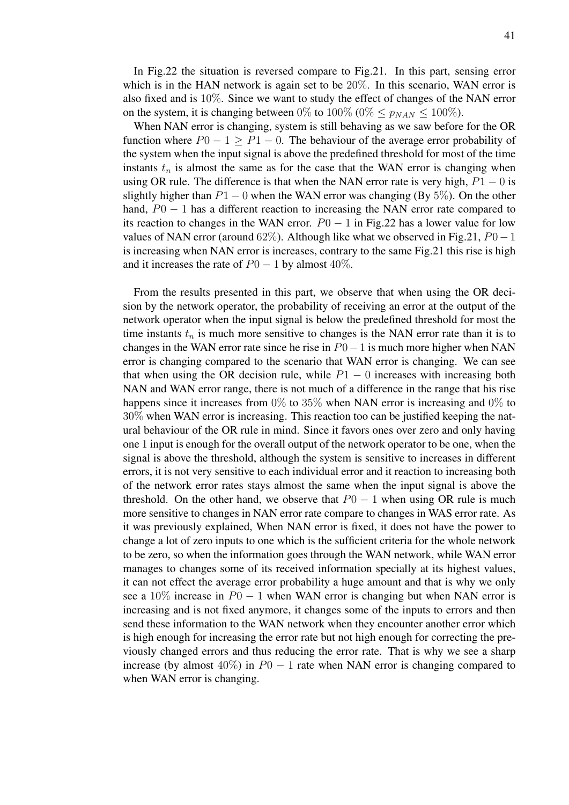In Fig.22 the situation is reversed compare to Fig.21. In this part, sensing error which is in the HAN network is again set to be 20%. In this scenario, WAN error is also fixed and is 10%. Since we want to study the effect of changes of the NAN error on the system, it is changing between 0% to 100% (0%  $\leq p_{NAN} \leq 100\%$ ).

When NAN error is changing, system is still behaving as we saw before for the OR function where  $P0 - 1 > P1 - 0$ . The behaviour of the average error probability of the system when the input signal is above the predefined threshold for most of the time instants  $t_n$  is almost the same as for the case that the WAN error is changing when using OR rule. The difference is that when the NAN error rate is very high,  $P1 - 0$  is slightly higher than  $P1 - 0$  when the WAN error was changing (By 5%). On the other hand,  $P0 - 1$  has a different reaction to increasing the NAN error rate compared to its reaction to changes in the WAN error.  $P0 - 1$  in Fig.22 has a lower value for low values of NAN error (around 62%). Although like what we observed in Fig.21,  $P0-1$ is increasing when NAN error is increases, contrary to the same Fig.21 this rise is high and it increases the rate of  $P0 - 1$  by almost 40%.

From the results presented in this part, we observe that when using the OR decision by the network operator, the probability of receiving an error at the output of the network operator when the input signal is below the predefined threshold for most the time instants  $t_n$  is much more sensitive to changes is the NAN error rate than it is to changes in the WAN error rate since he rise in  $P0-1$  is much more higher when NAN error is changing compared to the scenario that WAN error is changing. We can see that when using the OR decision rule, while  $P1 - 0$  increases with increasing both NAN and WAN error range, there is not much of a difference in the range that his rise happens since it increases from 0% to 35% when NAN error is increasing and 0% to 30% when WAN error is increasing. This reaction too can be justified keeping the natural behaviour of the OR rule in mind. Since it favors ones over zero and only having one 1 input is enough for the overall output of the network operator to be one, when the signal is above the threshold, although the system is sensitive to increases in different errors, it is not very sensitive to each individual error and it reaction to increasing both of the network error rates stays almost the same when the input signal is above the threshold. On the other hand, we observe that  $P0 - 1$  when using OR rule is much more sensitive to changes in NAN error rate compare to changes in WAS error rate. As it was previously explained, When NAN error is fixed, it does not have the power to change a lot of zero inputs to one which is the sufficient criteria for the whole network to be zero, so when the information goes through the WAN network, while WAN error manages to changes some of its received information specially at its highest values, it can not effect the average error probability a huge amount and that is why we only see a 10% increase in  $P0 - 1$  when WAN error is changing but when NAN error is increasing and is not fixed anymore, it changes some of the inputs to errors and then send these information to the WAN network when they encounter another error which is high enough for increasing the error rate but not high enough for correcting the previously changed errors and thus reducing the error rate. That is why we see a sharp increase (by almost  $40\%$ ) in  $P0 - 1$  rate when NAN error is changing compared to when WAN error is changing.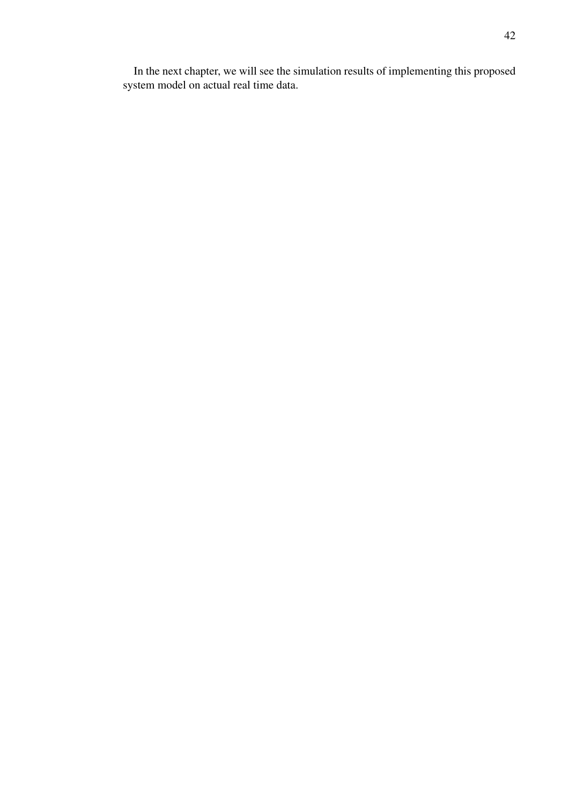In the next chapter, we will see the simulation results of implementing this proposed system model on actual real time data.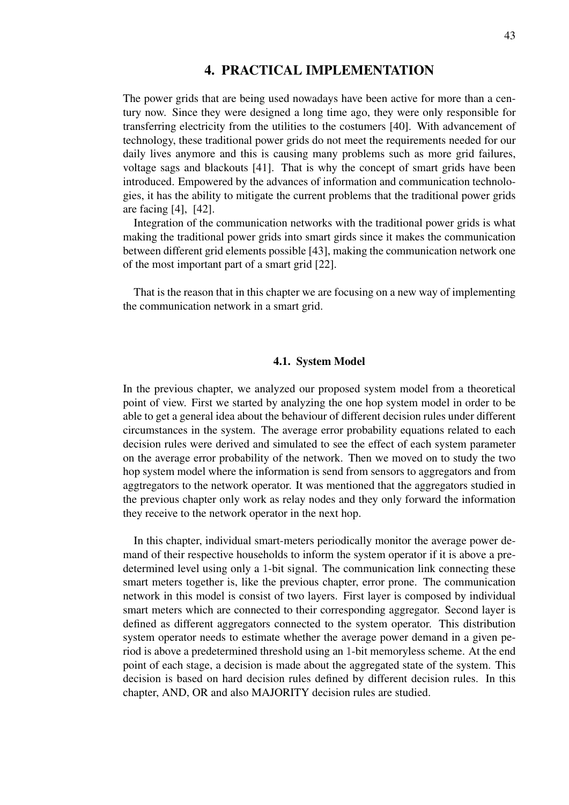# 4. PRACTICAL IMPLEMENTATION

The power grids that are being used nowadays have been active for more than a century now. Since they were designed a long time ago, they were only responsible for transferring electricity from the utilities to the costumers [40]. With advancement of technology, these traditional power grids do not meet the requirements needed for our daily lives anymore and this is causing many problems such as more grid failures, voltage sags and blackouts [41]. That is why the concept of smart grids have been introduced. Empowered by the advances of information and communication technologies, it has the ability to mitigate the current problems that the traditional power grids are facing [4], [42].

Integration of the communication networks with the traditional power grids is what making the traditional power grids into smart girds since it makes the communication between different grid elements possible [43], making the communication network one of the most important part of a smart grid [22].

That is the reason that in this chapter we are focusing on a new way of implementing the communication network in a smart grid.

#### 4.1. System Model

In the previous chapter, we analyzed our proposed system model from a theoretical point of view. First we started by analyzing the one hop system model in order to be able to get a general idea about the behaviour of different decision rules under different circumstances in the system. The average error probability equations related to each decision rules were derived and simulated to see the effect of each system parameter on the average error probability of the network. Then we moved on to study the two hop system model where the information is send from sensors to aggregators and from aggtregators to the network operator. It was mentioned that the aggregators studied in the previous chapter only work as relay nodes and they only forward the information they receive to the network operator in the next hop.

In this chapter, individual smart-meters periodically monitor the average power demand of their respective households to inform the system operator if it is above a predetermined level using only a 1-bit signal. The communication link connecting these smart meters together is, like the previous chapter, error prone. The communication network in this model is consist of two layers. First layer is composed by individual smart meters which are connected to their corresponding aggregator. Second layer is defined as different aggregators connected to the system operator. This distribution system operator needs to estimate whether the average power demand in a given period is above a predetermined threshold using an 1-bit memoryless scheme. At the end point of each stage, a decision is made about the aggregated state of the system. This decision is based on hard decision rules defined by different decision rules. In this chapter, AND, OR and also MAJORITY decision rules are studied.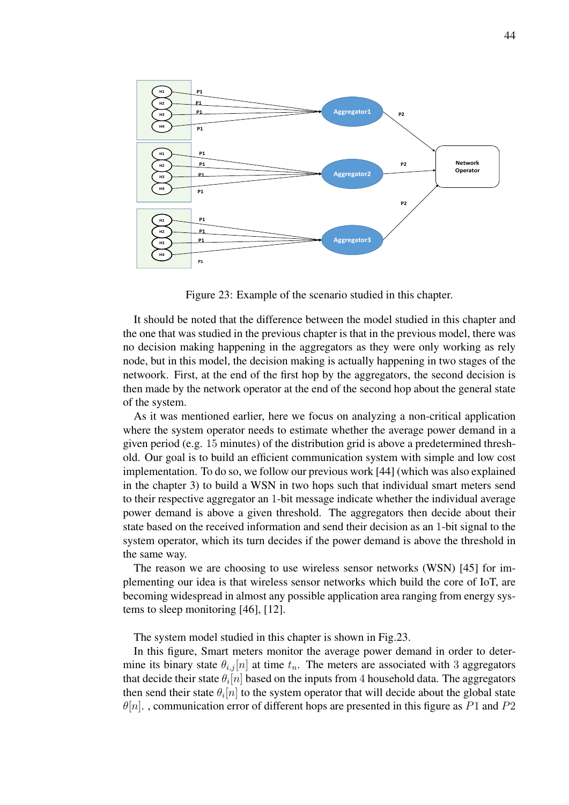

Figure 23: Example of the scenario studied in this chapter.

It should be noted that the difference between the model studied in this chapter and the one that was studied in the previous chapter is that in the previous model, there was no decision making happening in the aggregators as they were only working as rely node, but in this model, the decision making is actually happening in two stages of the netwoork. First, at the end of the first hop by the aggregators, the second decision is then made by the network operator at the end of the second hop about the general state of the system.

As it was mentioned earlier, here we focus on analyzing a non-critical application where the system operator needs to estimate whether the average power demand in a given period (e.g. 15 minutes) of the distribution grid is above a predetermined threshold. Our goal is to build an efficient communication system with simple and low cost implementation. To do so, we follow our previous work [44] (which was also explained in the chapter 3) to build a WSN in two hops such that individual smart meters send to their respective aggregator an 1-bit message indicate whether the individual average power demand is above a given threshold. The aggregators then decide about their state based on the received information and send their decision as an 1-bit signal to the system operator, which its turn decides if the power demand is above the threshold in the same way.

The reason we are choosing to use wireless sensor networks (WSN) [45] for implementing our idea is that wireless sensor networks which build the core of IoT, are becoming widespread in almost any possible application area ranging from energy systems to sleep monitoring [46], [12].

The system model studied in this chapter is shown in Fig.23.

In this figure, Smart meters monitor the average power demand in order to determine its binary state  $\theta_{i,j}[n]$  at time  $t_n$ . The meters are associated with 3 aggregators that decide their state  $\theta_i[n]$  based on the inputs from 4 household data. The aggregators then send their state  $\theta_i[n]$  to the system operator that will decide about the global state  $\theta[n]$ ., communication error of different hops are presented in this figure as P1 and P2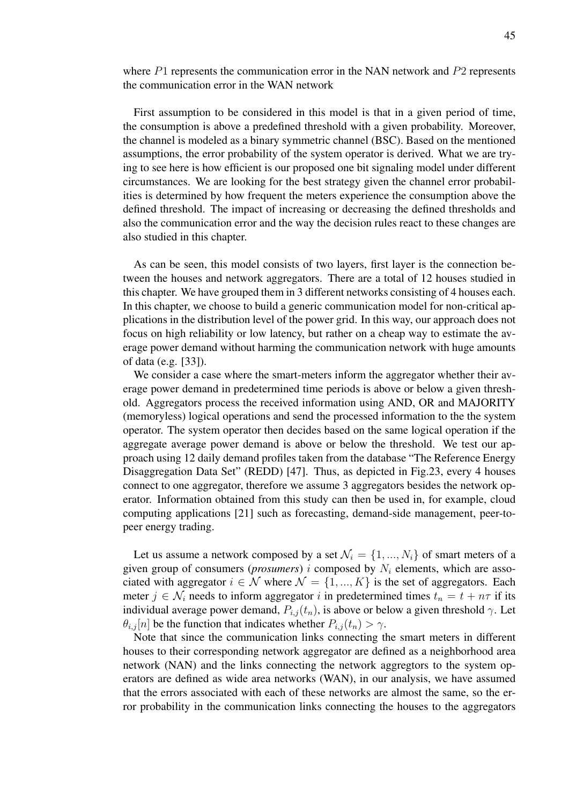where  $P1$  represents the communication error in the NAN network and  $P2$  represents the communication error in the WAN network

First assumption to be considered in this model is that in a given period of time, the consumption is above a predefined threshold with a given probability. Moreover, the channel is modeled as a binary symmetric channel (BSC). Based on the mentioned assumptions, the error probability of the system operator is derived. What we are trying to see here is how efficient is our proposed one bit signaling model under different circumstances. We are looking for the best strategy given the channel error probabilities is determined by how frequent the meters experience the consumption above the defined threshold. The impact of increasing or decreasing the defined thresholds and also the communication error and the way the decision rules react to these changes are also studied in this chapter.

As can be seen, this model consists of two layers, first layer is the connection between the houses and network aggregators. There are a total of 12 houses studied in this chapter. We have grouped them in 3 different networks consisting of 4 houses each. In this chapter, we choose to build a generic communication model for non-critical applications in the distribution level of the power grid. In this way, our approach does not focus on high reliability or low latency, but rather on a cheap way to estimate the average power demand without harming the communication network with huge amounts of data (e.g. [33]).

We consider a case where the smart-meters inform the aggregator whether their average power demand in predetermined time periods is above or below a given threshold. Aggregators process the received information using AND, OR and MAJORITY (memoryless) logical operations and send the processed information to the the system operator. The system operator then decides based on the same logical operation if the aggregate average power demand is above or below the threshold. We test our approach using 12 daily demand profiles taken from the database "The Reference Energy Disaggregation Data Set" (REDD) [47]. Thus, as depicted in Fig.23, every 4 houses connect to one aggregator, therefore we assume 3 aggregators besides the network operator. Information obtained from this study can then be used in, for example, cloud computing applications [21] such as forecasting, demand-side management, peer-topeer energy trading.

Let us assume a network composed by a set  $\mathcal{N}_i = \{1, ..., N_i\}$  of smart meters of a given group of consumers ( $proxumers$ ) i composed by  $N_i$  elements, which are associated with aggregator  $i \in \mathcal{N}$  where  $\mathcal{N} = \{1, ..., K\}$  is the set of aggregators. Each meter  $j \in \mathcal{N}_i$  needs to inform aggregator i in predetermined times  $t_n = t + n\tau$  if its individual average power demand,  $P_{i,j}(t_n)$ , is above or below a given threshold  $\gamma$ . Let  $\theta_{i,j}[n]$  be the function that indicates whether  $P_{i,j}(t_n) > \gamma$ .

Note that since the communication links connecting the smart meters in different houses to their corresponding network aggregator are defined as a neighborhood area network (NAN) and the links connecting the network aggregtors to the system operators are defined as wide area networks (WAN), in our analysis, we have assumed that the errors associated with each of these networks are almost the same, so the error probability in the communication links connecting the houses to the aggregators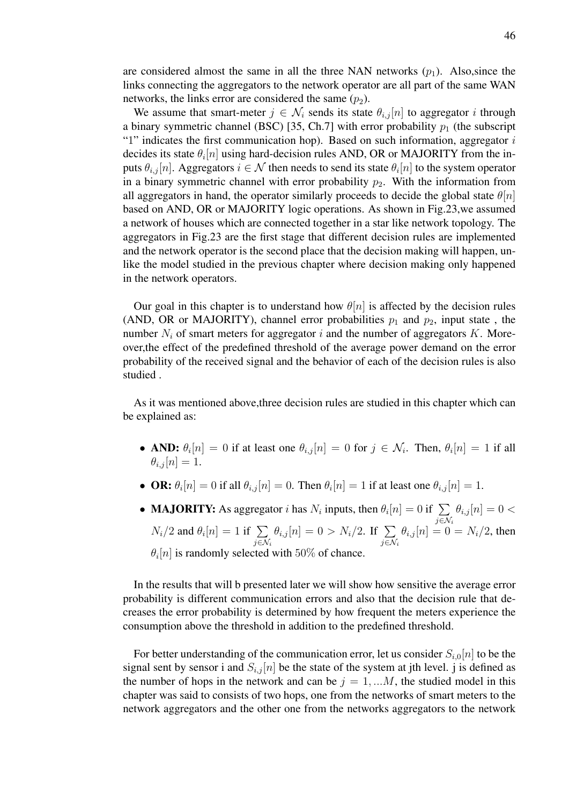are considered almost the same in all the three NAN networks  $(p_1)$ . Also, since the links connecting the aggregators to the network operator are all part of the same WAN networks, the links error are considered the same  $(p_2)$ .

We assume that smart-meter  $j \in \mathcal{N}_i$  sends its state  $\theta_{i,j}[n]$  to aggregator i through a binary symmetric channel (BSC) [35, Ch.7] with error probability  $p_1$  (the subscript "1" indicates the first communication hop). Based on such information, aggregator  $i$ decides its state  $\theta_i[n]$  using hard-decision rules AND, OR or MAJORITY from the inputs  $\theta_{i,j}[n]$ . Aggregators  $i \in \mathcal{N}$  then needs to send its state  $\theta_i[n]$  to the system operator in a binary symmetric channel with error probability  $p_2$ . With the information from all aggregators in hand, the operator similarly proceeds to decide the global state  $\theta[n]$ based on AND, OR or MAJORITY logic operations. As shown in Fig.23,we assumed a network of houses which are connected together in a star like network topology. The aggregators in Fig.23 are the first stage that different decision rules are implemented and the network operator is the second place that the decision making will happen, unlike the model studied in the previous chapter where decision making only happened in the network operators.

Our goal in this chapter is to understand how  $\theta[n]$  is affected by the decision rules (AND, OR or MAJORITY), channel error probabilities  $p_1$  and  $p_2$ , input state, the number  $N_i$  of smart meters for aggregator i and the number of aggregators K. Moreover,the effect of the predefined threshold of the average power demand on the error probability of the received signal and the behavior of each of the decision rules is also studied .

As it was mentioned above,three decision rules are studied in this chapter which can be explained as:

- AND:  $\theta_i[n] = 0$  if at least one  $\theta_{i,j}[n] = 0$  for  $j \in \mathcal{N}_i$ . Then,  $\theta_i[n] = 1$  if all  $\theta_{i,i}$  [n] = 1.
- **OR:**  $\theta_i[n] = 0$  if all  $\theta_{i,j}[n] = 0$ . Then  $\theta_i[n] = 1$  if at least one  $\theta_{i,j}[n] = 1$ .
- **MAJORITY:** As aggregator *i* has  $N_i$  inputs, then  $\theta_i[n] = 0$  if  $\sum_{i=1}^{n}$  $j \in \mathcal{N}_i$  $\theta_{i,j}[n] = 0$  <  $N_i/2$  and  $\theta_i[n] = 1$  if  $\Sigma$  $j\in\mathcal{N}_i$  $\theta_{i,j}[n] = 0 > N_i/2$ . If  $\sum$  $j\in\mathcal{N}_i$  $\theta_{i,j}[n] = 0 = N_i/2$ , then  $\theta_i[n]$  is randomly selected with 50% of chance.

In the results that will b presented later we will show how sensitive the average error probability is different communication errors and also that the decision rule that decreases the error probability is determined by how frequent the meters experience the consumption above the threshold in addition to the predefined threshold.

For better understanding of the communication error, let us consider  $S_{i,0}[n]$  to be the signal sent by sensor i and  $S_{i,j}[n]$  be the state of the system at jth level. j is defined as the number of hops in the network and can be  $j = 1, \dots M$ , the studied model in this chapter was said to consists of two hops, one from the networks of smart meters to the network aggregators and the other one from the networks aggregators to the network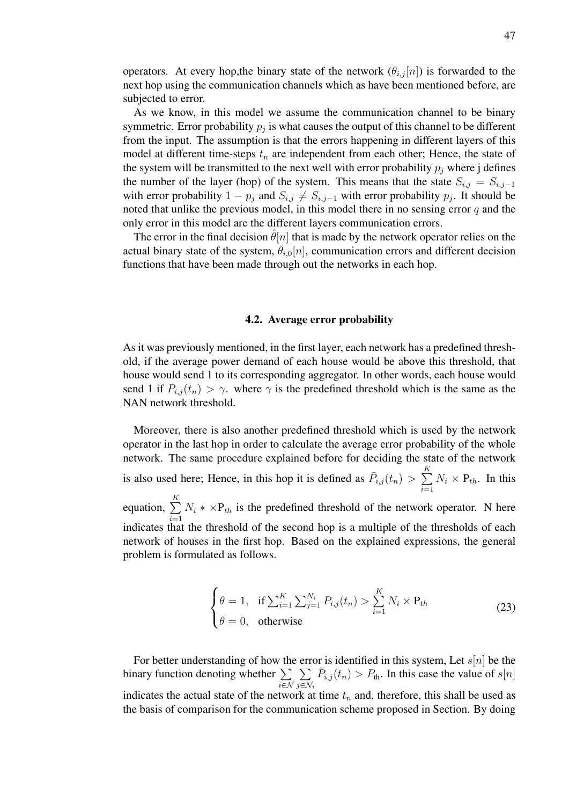operators. At every hop, the binary state of the network  $(\theta_{i,j}[n])$  is forwarded to the next hop using the communication channels which as have been mentioned before, are subjected to error.

As we know, in this model we assume the communication channel to be binary symmetric. Error probability  $p_j$  is what causes the output of this channel to be different from the input. The assumption is that the errors happening in different layers of this model at different time-steps  $t_n$  are independent from each other; Hence, the state of the system will be transmitted to the next well with error probability  $p_j$  where j defines the number of the layer (hop) of the system. This means that the state  $S_{i,j} = S_{i,j-1}$ with error probability  $1 - p_j$  and  $S_{i,j} \neq S_{i,j-1}$  with error probability  $p_j$ . It should be noted that unlike the previous model, in this model there in no sensing error  $q$  and the only error in this model are the different layers communication errors.

The error in the final decision  $\hat{\theta}[n]$  that is made by the network operator relies on the actual binary state of the system,  $\theta_{i,0}[n]$ , communication errors and different decision functions that have been made through out the networks in each hop.

#### 4.2. Average error probability

As it was previously mentioned, in the first layer, each network has a predefined threshold, if the average power demand of each house would be above this threshold, that house would send 1 to its corresponding aggregator. In other words, each house would send 1 if  $P_{i,j}(t_n) > \gamma$ . where  $\gamma$  is the predefined threshold which is the same as the NAN network threshold.

Moreover, there is also another predefined threshold which is used by the network operator in the last hop in order to calculate the average error probability of the whole network. The same procedure explained before for deciding the state of the network is also used here; Hence, in this hop it is defined as  $\bar{P}_{i,j}(t_n) > \sum_{i=1}^{K}$  $\sum_{i=1} N_i \times P_{th}$ . In this equation,  $\sum_{k=1}^{K}$  $\sum_{i=1} N_i * \times P_{th}$  is the predefined threshold of the network operator. N here indicates that the threshold of the second hop is a multiple of the thresholds of each network of houses in the first hop. Based on the explained expressions, the general problem is formulated as follows.

$$
\begin{cases} \theta = 1, & \text{if } \sum_{i=1}^{K} \sum_{j=1}^{N_i} P_{i,j}(t_n) > \sum_{i=1}^{K} N_i \times P_{th} \\ \theta = 0, & \text{otherwise} \end{cases}
$$
 (23)

For better understanding of how the error is identified in this system, Let  $s[n]$  be the binary function denoting whether  $\Sigma$ i∈N  $\sum$ j $\in\mathcal{N}_i$  $\overline{P}_{i,j}(t_n) > P_{\text{th}}$ . In this case the value of  $s[n]$ indicates the actual state of the network at time  $t_n$  and, therefore, this shall be used as the basis of comparison for the communication scheme proposed in Section. By doing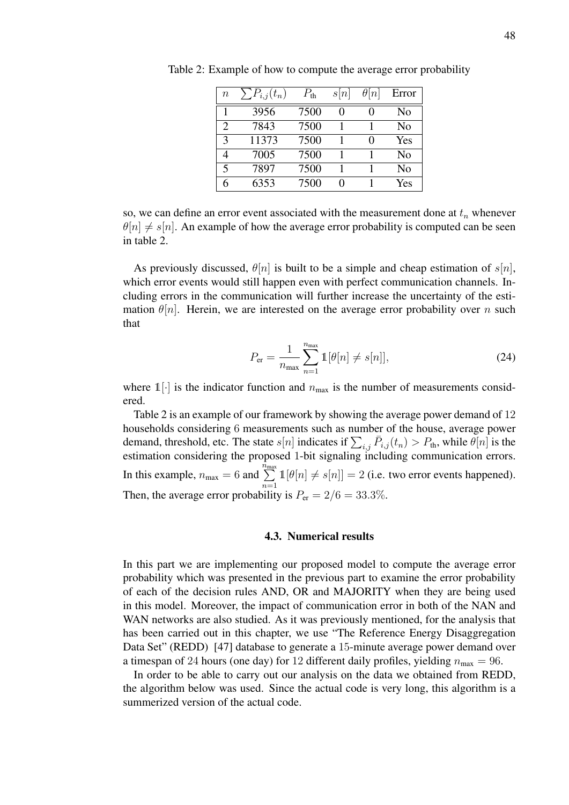| $\, n$        | $P_{i,j}(t_n)$ | $P_{\text{th}}$ | s n | $\theta n $ | Error          |
|---------------|----------------|-----------------|-----|-------------|----------------|
| 1             | 3956           | 7500            |     |             | No             |
| $\mathcal{D}$ | 7843           | 7500            |     |             | No             |
| 3             | 11373          | 7500            |     | 0           | Yes            |
|               | 7005           | 7500            |     |             | N <sub>0</sub> |
| 5             | 7897           | 7500            |     |             | No             |
|               | 6353           | 7500            |     |             | Yes            |

Table 2: Example of how to compute the average error probability

so, we can define an error event associated with the measurement done at  $t_n$  whenever  $\theta[n] \neq s[n]$ . An example of how the average error probability is computed can be seen in table 2.

As previously discussed,  $\theta[n]$  is built to be a simple and cheap estimation of  $s[n]$ , which error events would still happen even with perfect communication channels. Including errors in the communication will further increase the uncertainty of the estimation  $\theta[n]$ . Herein, we are interested on the average error probability over n such that

$$
P_{\rm er} = \frac{1}{n_{\rm max}} \sum_{n=1}^{n_{\rm max}} \mathbb{1}[\theta[n] \neq s[n]], \tag{24}
$$

where  $1\left[\cdot\right]$  is the indicator function and  $n_{\text{max}}$  is the number of measurements considered.

Table 2 is an example of our framework by showing the average power demand of 12 households considering 6 measurements such as number of the house, average power demand, threshold, etc. The state  $s[n]$  indicates if  $\sum_{i,j} \bar{P}_{i,j}(t_n) > P_{th}$ , while  $\theta[n]$  is the estimation considering the proposed 1-bit signaling including communication errors. In this example,  $n_{\text{max}} = 6$  and  $\sum_{n=1}^{\infty}$  $\sum_{n=1}^{\infty} \mathbb{1}[\theta[n] \neq s[n]] = 2$  (i.e. two error events happened). Then, the average error probability is  $P_{\text{er}} = 2/6 = 33.3\%$ .

#### 4.3. Numerical results

In this part we are implementing our proposed model to compute the average error probability which was presented in the previous part to examine the error probability of each of the decision rules AND, OR and MAJORITY when they are being used in this model. Moreover, the impact of communication error in both of the NAN and WAN networks are also studied. As it was previously mentioned, for the analysis that has been carried out in this chapter, we use "The Reference Energy Disaggregation Data Set" (REDD) [47] database to generate a 15-minute average power demand over a timespan of 24 hours (one day) for 12 different daily profiles, yielding  $n_{\text{max}} = 96$ .

In order to be able to carry out our analysis on the data we obtained from REDD, the algorithm below was used. Since the actual code is very long, this algorithm is a summerized version of the actual code.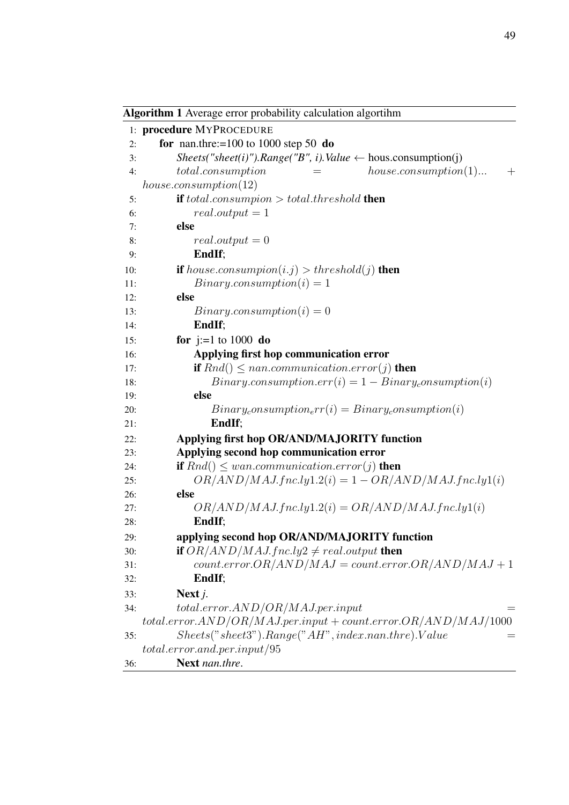|            | Algorithm 1 Average error probability calculation algortihm             |
|------------|-------------------------------------------------------------------------|
|            | 1: procedure MYPROCEDURE                                                |
| 2:         | for nan.thre:= $100$ to $1000$ step 50 do                               |
| 3:         | Sheets("sheet(i)").Range("B", i).Value $\leftarrow$ hous.consumption(j) |
| 4:         | $house-consumption(1)$<br>$total.\nconsumption$<br>$^{+}$<br>$=$        |
|            | $house.consumption(12)$                                                 |
| 5:         | <b>if</b> total.consumpion $>$ total.threshold <b>then</b>              |
| 6:         | $real.output = 1$                                                       |
| 7:         | else                                                                    |
| 8:         | $real.output = 0$                                                       |
| 9:         | EndIf;                                                                  |
| 10:        | <b>if</b> house consumpion(i.j) > threshold(j) <b>then</b>              |
| 11:        | $Binary-consumption(i) = 1$                                             |
| 12:        | else                                                                    |
| 13:        | $Binary-consumption(i) = 0$                                             |
| 14:        | EndIf;                                                                  |
| 15:        | <b>for</b> $j:=1$ to 1000 <b>do</b>                                     |
| 16:        | Applying first hop communication error                                  |
| 17:        | <b>if</b> $Rnd() \leq nan. communication. error(j)$ then                |
| 18:<br>19: | $Binary consumption.err(i) = 1 - Binary_{\text{con}}{}'{}'$<br>else     |
| 20:        | $Binary_{c}onsumption_{e}rr(i) = Binary_{c}onsumption(i)$               |
| 21:        | EndIf;                                                                  |
| 22:        | Applying first hop OR/AND/MAJORITY function                             |
| 23:        | Applying second hop communication error                                 |
| 24:        | <b>if</b> $Rnd() \leq wan. communication. error(j)$ then                |
| 25:        | $OR/AND/MAJ.fnc.ly1.2(i) = 1 - OR/AND/MAJ.fnc.ly1(i)$                   |
| 26:        | else                                                                    |
| 27:        | $OR/AND/MAJ.fnc.ly1.2(i) = OR/AND/MAJ.fnc.ly1(i)$                       |
| 28:        | EndIf;                                                                  |
| 29:        | applying second hop OR/AND/MAJORITY function                            |
| 30:        | if $OR/AND/MAJ.fnc.ly2 \neq real.output$ then                           |
| 31:        | $count_error \cdot OR/AND/MAJ = count_error \cdot OR/AND/MAJ + 1$       |
| 32:        | EndIf;                                                                  |
| 33:        | Next $j$ .                                                              |
| 34:        | $total_error. AND/OR/MAJ. per. input$<br>$=$                            |
|            | $totalerror. AND/OR/MAJ. per. input + count. error. OR/AND/MAJ/1000$    |
| 35:        | $Sheets("sheet3"). Range("AH", index.nan. three). Value$<br>$=$         |
|            | $total_error$ and per input $/95$                                       |
| 36:        | Next nan.thre.                                                          |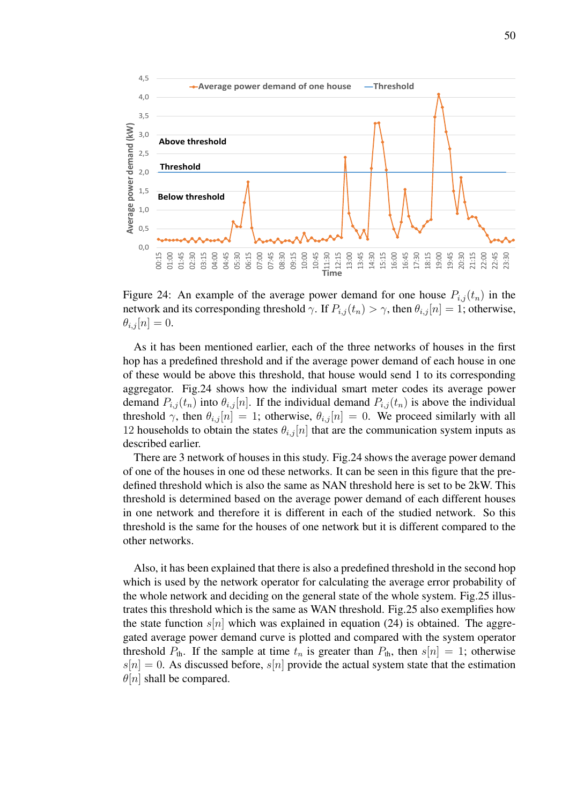

Figure 24: An example of the average power demand for one house  $P_{i,j}(t_n)$  in the network and its corresponding threshold  $\gamma$ . If  $P_{i,j}(t_n) > \gamma$ , then  $\theta_{i,j}[n] = 1$ ; otherwise,  $\theta_{i,j}[n] = 0.$ 

As it has been mentioned earlier, each of the three networks of houses in the first hop has a predefined threshold and if the average power demand of each house in one of these would be above this threshold, that house would send 1 to its corresponding aggregator. Fig.24 shows how the individual smart meter codes its average power demand  $P_{i,j}(t_n)$  into  $\theta_{i,j}[n]$ . If the individual demand  $P_{i,j}(t_n)$  is above the individual threshold  $\gamma$ , then  $\theta_{i,j}[n] = 1$ ; otherwise,  $\theta_{i,j}[n] = 0$ . We proceed similarly with all 12 households to obtain the states  $\theta_{i,j}[n]$  that are the communication system inputs as described earlier.

There are 3 network of houses in this study. Fig.24 shows the average power demand of one of the houses in one od these networks. It can be seen in this figure that the predefined threshold which is also the same as NAN threshold here is set to be 2kW. This threshold is determined based on the average power demand of each different houses in one network and therefore it is different in each of the studied network. So this threshold is the same for the houses of one network but it is different compared to the other networks.

Also, it has been explained that there is also a predefined threshold in the second hop which is used by the network operator for calculating the average error probability of the whole network and deciding on the general state of the whole system. Fig.25 illustrates this threshold which is the same as WAN threshold. Fig.25 also exemplifies how the state function  $s[n]$  which was explained in equation (24) is obtained. The aggregated average power demand curve is plotted and compared with the system operator threshold  $P_{th}$ . If the sample at time  $t_n$  is greater than  $P_{th}$ , then  $s[n] = 1$ ; otherwise  $s[n] = 0$ . As discussed before,  $s[n]$  provide the actual system state that the estimation  $\theta[n]$  shall be compared.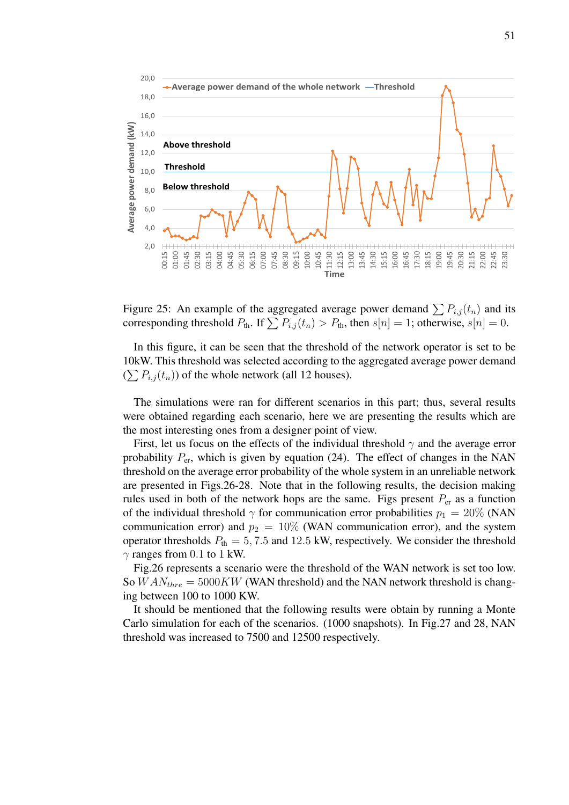

Figure 25: An example of the aggregated average power demand  $\sum P_{i,j}(t_n)$  and its corresponding threshold  $P_{\text{th}}$ . If  $\sum P_{i,j}(t_n) > P_{\text{th}}$ , then  $s[n] = 1$ ; otherwise,  $s[n] = 0$ .

In this figure, it can be seen that the threshold of the network operator is set to be 10kW. This threshold was selected according to the aggregated average power demand  $(\sum P_{i,j}(t_n))$  of the whole network (all 12 houses).

The simulations were ran for different scenarios in this part; thus, several results were obtained regarding each scenario, here we are presenting the results which are the most interesting ones from a designer point of view.

First, let us focus on the effects of the individual threshold  $\gamma$  and the average error probability  $P_{\text{er}}$ , which is given by equation (24). The effect of changes in the NAN threshold on the average error probability of the whole system in an unreliable network are presented in Figs.26-28. Note that in the following results, the decision making rules used in both of the network hops are the same. Figs present  $P_{er}$  as a function of the individual threshold  $\gamma$  for communication error probabilities  $p_1 = 20\%$  (NAN communication error) and  $p_2 = 10\%$  (WAN communication error), and the system operator thresholds  $P_{\text{th}} = 5, 7.5$  and 12.5 kW, respectively. We consider the threshold  $\gamma$  ranges from 0.1 to 1 kW.

Fig.26 represents a scenario were the threshold of the WAN network is set too low. So  $WAN_{thre} = 5000KW$  (WAN threshold) and the NAN network threshold is changing between 100 to 1000 KW.

It should be mentioned that the following results were obtain by running a Monte Carlo simulation for each of the scenarios. (1000 snapshots). In Fig.27 and 28, NAN threshold was increased to 7500 and 12500 respectively.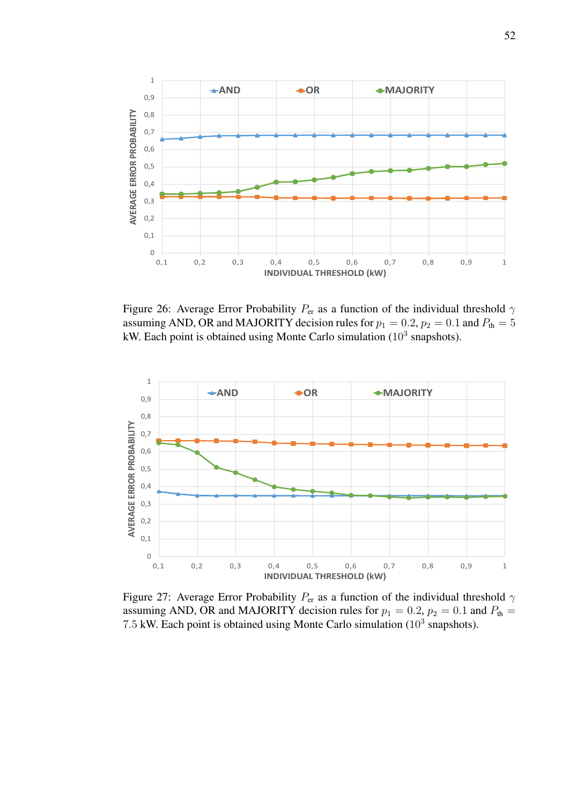

Figure 26: Average Error Probability  $P_{\text{er}}$  as a function of the individual threshold  $\gamma$ assuming AND, OR and MAJORITY decision rules for  $p_1 = 0.2$ ,  $p_2 = 0.1$  and  $P_{th} = 5$ kW. Each point is obtained using Monte Carlo simulation  $(10^3 \text{ snapshots})$ .



Figure 27: Average Error Probability  $P_{\text{er}}$  as a function of the individual threshold  $\gamma$ assuming AND, OR and MAJORITY decision rules for  $p_1 = 0.2$ ,  $p_2 = 0.1$  and  $P_{\text{th}} =$ 7.5 kW. Each point is obtained using Monte Carlo simulation  $(10^3 \text{ snapshots})$ .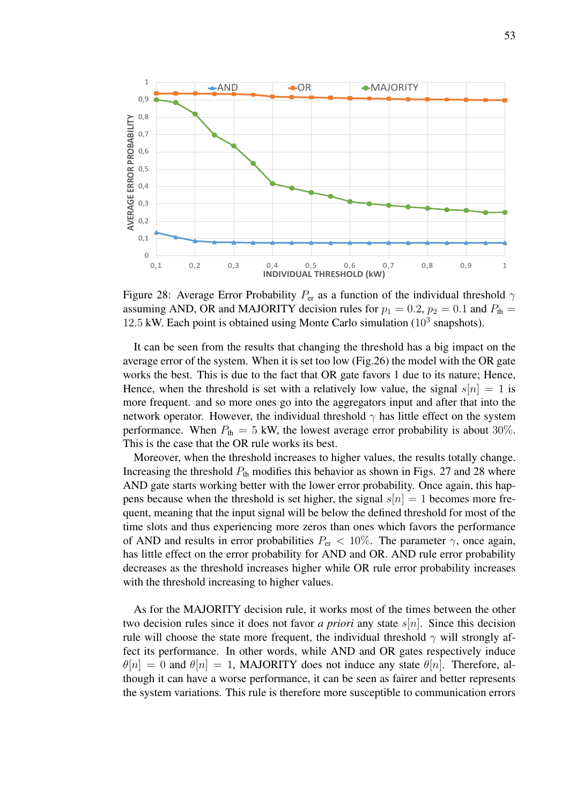

Figure 28: Average Error Probability  $P_{\text{er}}$  as a function of the individual threshold  $\gamma$ assuming AND, OR and MAJORITY decision rules for  $p_1 = 0.2$ ,  $p_2 = 0.1$  and  $P_{th} =$  $12.5$  kW. Each point is obtained using Monte Carlo simulation ( $10^3$  snapshots).

It can be seen from the results that changing the threshold has a big impact on the average error of the system. When it is set too low (Fig.26) the model with the OR gate works the best. This is due to the fact that OR gate favors 1 due to its nature; Hence, Hence, when the threshold is set with a relatively low value, the signal  $s[n] = 1$  is more frequent. and so more ones go into the aggregators input and after that into the network operator. However, the individual threshold  $\gamma$  has little effect on the system performance. When  $P_{\text{th}} = 5$  kW, the lowest average error probability is about 30%. This is the case that the OR rule works its best.

Moreover, when the threshold increases to higher values, the results totally change. Increasing the threshold  $P_{th}$  modifies this behavior as shown in Figs. 27 and 28 where AND gate starts working better with the lower error probability. Once again, this happens because when the threshold is set higher, the signal  $s[n] = 1$  becomes more frequent, meaning that the input signal will be below the defined threshold for most of the time slots and thus experiencing more zeros than ones which favors the performance of AND and results in error probabilities  $P_{\rm er} < 10\%$ . The parameter  $\gamma$ , once again, has little effect on the error probability for AND and OR. AND rule error probability decreases as the threshold increases higher while OR rule error probability increases with the threshold increasing to higher values.

As for the MAJORITY decision rule, it works most of the times between the other two decision rules since it does not favor *a priori* any state s[n]. Since this decision rule will choose the state more frequent, the individual threshold  $\gamma$  will strongly affect its performance. In other words, while AND and OR gates respectively induce  $\theta[n] = 0$  and  $\theta[n] = 1$ , MAJORITY does not induce any state  $\theta[n]$ . Therefore, although it can have a worse performance, it can be seen as fairer and better represents the system variations. This rule is therefore more susceptible to communication errors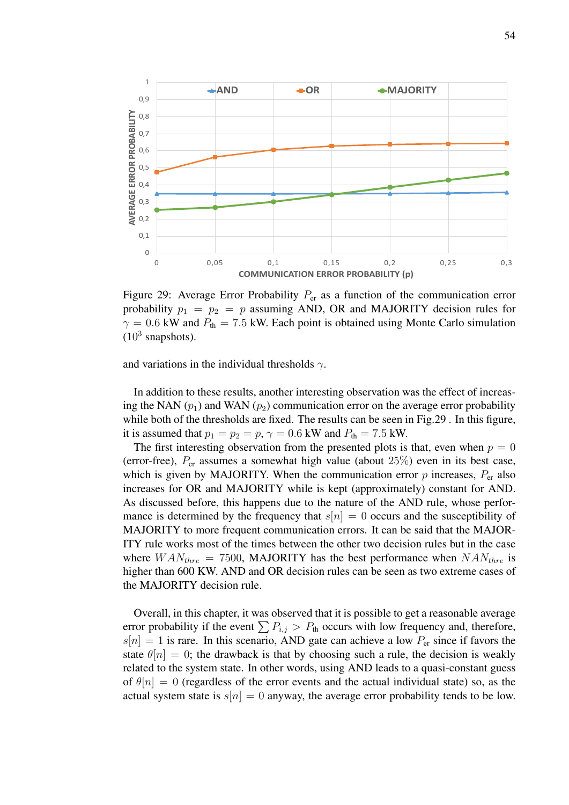

Figure 29: Average Error Probability  $P_{\rm er}$  as a function of the communication error probability  $p_1 = p_2 = p$  assuming AND, OR and MAJORITY decision rules for  $\gamma = 0.6$  kW and  $P_{\text{th}} = 7.5$  kW. Each point is obtained using Monte Carlo simulation  $(10^3$  snapshots).

and variations in the individual thresholds  $\gamma$ .

In addition to these results, another interesting observation was the effect of increasing the NAN  $(p_1)$  and WAN  $(p_2)$  communication error on the average error probability while both of the thresholds are fixed. The results can be seen in Fig.29 . In this figure, it is assumed that  $p_1 = p_2 = p$ ,  $\gamma = 0.6$  kW and  $P_{\text{th}} = 7.5$  kW.

The first interesting observation from the presented plots is that, even when  $p = 0$ (error-free),  $P_{\text{er}}$  assumes a somewhat high value (about  $25\%$ ) even in its best case, which is given by MAJORITY. When the communication error  $p$  increases,  $P_{er}$  also increases for OR and MAJORITY while is kept (approximately) constant for AND. As discussed before, this happens due to the nature of the AND rule, whose performance is determined by the frequency that  $s[n] = 0$  occurs and the susceptibility of MAJORITY to more frequent communication errors. It can be said that the MAJOR-ITY rule works most of the times between the other two decision rules but in the case where  $WAN_{thre} = 7500$ , MAJORITY has the best performance when  $NAN_{thre}$  is higher than 600 KW. AND and OR decision rules can be seen as two extreme cases of the MAJORITY decision rule.

Overall, in this chapter, it was observed that it is possible to get a reasonable average error probability if the event  $\sum P_{i,j} > P_{th}$  occurs with low frequency and, therefore,  $s[n] = 1$  is rare. In this scenario, AND gate can achieve a low  $P_{\text{er}}$  since if favors the state  $\theta[n] = 0$ ; the drawback is that by choosing such a rule, the decision is weakly related to the system state. In other words, using AND leads to a quasi-constant guess of  $\theta[n] = 0$  (regardless of the error events and the actual individual state) so, as the actual system state is  $s[n] = 0$  anyway, the average error probability tends to be low.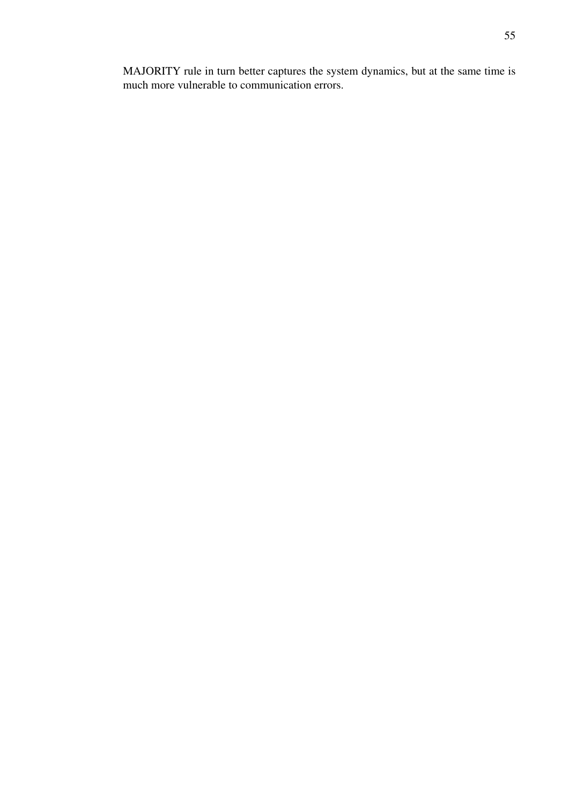MAJORITY rule in turn better captures the system dynamics, but at the same time is much more vulnerable to communication errors.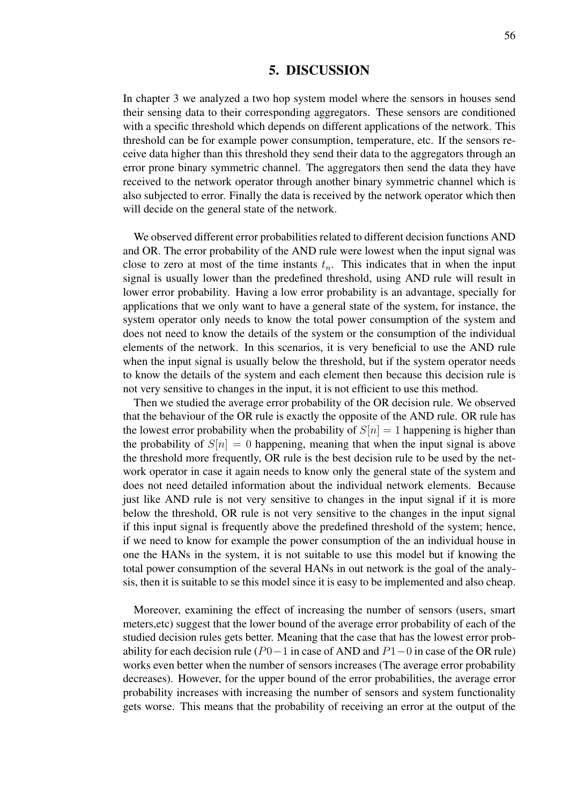#### 5. DISCUSSION

In chapter 3 we analyzed a two hop system model where the sensors in houses send their sensing data to their corresponding aggregators. These sensors are conditioned with a specific threshold which depends on different applications of the network. This threshold can be for example power consumption, temperature, etc. If the sensors receive data higher than this threshold they send their data to the aggregators through an error prone binary symmetric channel. The aggregators then send the data they have received to the network operator through another binary symmetric channel which is also subjected to error. Finally the data is received by the network operator which then will decide on the general state of the network.

We observed different error probabilities related to different decision functions AND and OR. The error probability of the AND rule were lowest when the input signal was close to zero at most of the time instants  $t_n$ . This indicates that in when the input signal is usually lower than the predefined threshold, using AND rule will result in lower error probability. Having a low error probability is an advantage, specially for applications that we only want to have a general state of the system, for instance, the system operator only needs to know the total power consumption of the system and does not need to know the details of the system or the consumption of the individual elements of the network. In this scenarios, it is very beneficial to use the AND rule when the input signal is usually below the threshold, but if the system operator needs to know the details of the system and each element then because this decision rule is not very sensitive to changes in the input, it is not efficient to use this method.

Then we studied the average error probability of the OR decision rule. We observed that the behaviour of the OR rule is exactly the opposite of the AND rule. OR rule has the lowest error probability when the probability of  $S[n] = 1$  happening is higher than the probability of  $S[n] = 0$  happening, meaning that when the input signal is above the threshold more frequently, OR rule is the best decision rule to be used by the network operator in case it again needs to know only the general state of the system and does not need detailed information about the individual network elements. Because just like AND rule is not very sensitive to changes in the input signal if it is more below the threshold, OR rule is not very sensitive to the changes in the input signal if this input signal is frequently above the predefined threshold of the system; hence, if we need to know for example the power consumption of the an individual house in one the HANs in the system, it is not suitable to use this model but if knowing the total power consumption of the several HANs in out network is the goal of the analysis, then it is suitable to se this model since it is easy to be implemented and also cheap.

Moreover, examining the effect of increasing the number of sensors (users, smart meters,etc) suggest that the lower bound of the average error probability of each of the studied decision rules gets better. Meaning that the case that has the lowest error probability for each decision rule ( $P0-1$  in case of AND and  $P1-0$  in case of the OR rule) works even better when the number of sensors increases (The average error probability decreases). However, for the upper bound of the error probabilities, the average error probability increases with increasing the number of sensors and system functionality gets worse. This means that the probability of receiving an error at the output of the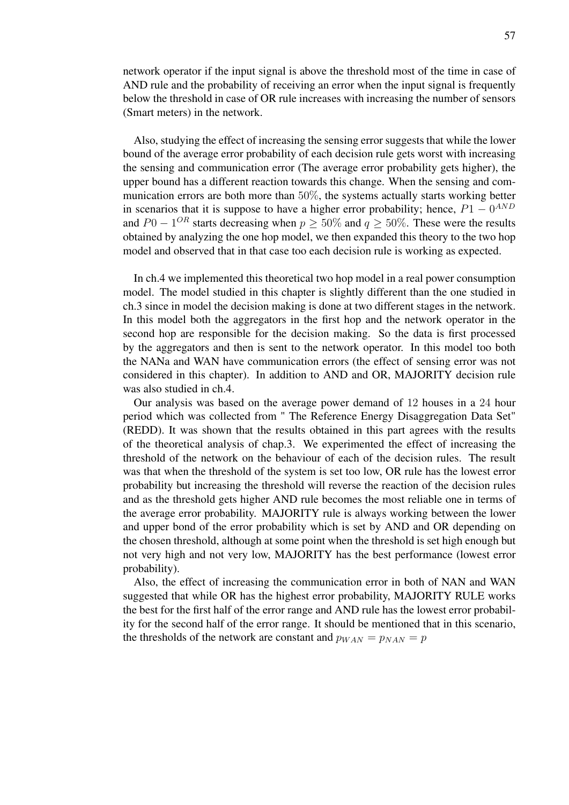network operator if the input signal is above the threshold most of the time in case of AND rule and the probability of receiving an error when the input signal is frequently below the threshold in case of OR rule increases with increasing the number of sensors (Smart meters) in the network.

Also, studying the effect of increasing the sensing error suggests that while the lower bound of the average error probability of each decision rule gets worst with increasing the sensing and communication error (The average error probability gets higher), the upper bound has a different reaction towards this change. When the sensing and communication errors are both more than 50%, the systems actually starts working better in scenarios that it is suppose to have a higher error probability; hence,  $P1 - 0^{AND}$ and  $P0 - 1^{OR}$  starts decreasing when  $p \ge 50\%$  and  $q \ge 50\%$ . These were the results obtained by analyzing the one hop model, we then expanded this theory to the two hop model and observed that in that case too each decision rule is working as expected.

In ch.4 we implemented this theoretical two hop model in a real power consumption model. The model studied in this chapter is slightly different than the one studied in ch.3 since in model the decision making is done at two different stages in the network. In this model both the aggregators in the first hop and the network operator in the second hop are responsible for the decision making. So the data is first processed by the aggregators and then is sent to the network operator. In this model too both the NANa and WAN have communication errors (the effect of sensing error was not considered in this chapter). In addition to AND and OR, MAJORITY decision rule was also studied in ch.4.

Our analysis was based on the average power demand of 12 houses in a 24 hour period which was collected from " The Reference Energy Disaggregation Data Set" (REDD). It was shown that the results obtained in this part agrees with the results of the theoretical analysis of chap.3. We experimented the effect of increasing the threshold of the network on the behaviour of each of the decision rules. The result was that when the threshold of the system is set too low, OR rule has the lowest error probability but increasing the threshold will reverse the reaction of the decision rules and as the threshold gets higher AND rule becomes the most reliable one in terms of the average error probability. MAJORITY rule is always working between the lower and upper bond of the error probability which is set by AND and OR depending on the chosen threshold, although at some point when the threshold is set high enough but not very high and not very low, MAJORITY has the best performance (lowest error probability).

Also, the effect of increasing the communication error in both of NAN and WAN suggested that while OR has the highest error probability, MAJORITY RULE works the best for the first half of the error range and AND rule has the lowest error probability for the second half of the error range. It should be mentioned that in this scenario, the thresholds of the network are constant and  $p_{WAN} = p_{NAN} = p$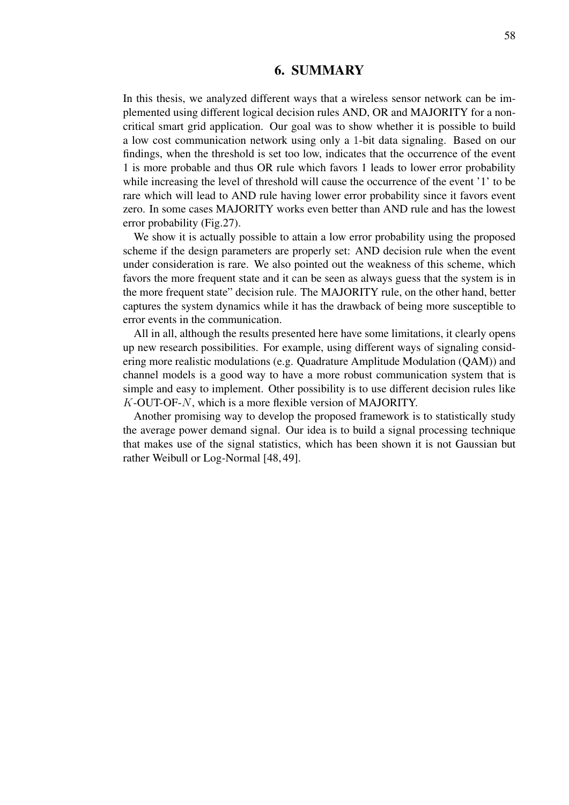# 6. SUMMARY

In this thesis, we analyzed different ways that a wireless sensor network can be implemented using different logical decision rules AND, OR and MAJORITY for a noncritical smart grid application. Our goal was to show whether it is possible to build a low cost communication network using only a 1-bit data signaling. Based on our findings, when the threshold is set too low, indicates that the occurrence of the event 1 is more probable and thus OR rule which favors 1 leads to lower error probability while increasing the level of threshold will cause the occurrence of the event '1' to be rare which will lead to AND rule having lower error probability since it favors event zero. In some cases MAJORITY works even better than AND rule and has the lowest error probability (Fig.27).

We show it is actually possible to attain a low error probability using the proposed scheme if the design parameters are properly set: AND decision rule when the event under consideration is rare. We also pointed out the weakness of this scheme, which favors the more frequent state and it can be seen as always guess that the system is in the more frequent state" decision rule. The MAJORITY rule, on the other hand, better captures the system dynamics while it has the drawback of being more susceptible to error events in the communication.

All in all, although the results presented here have some limitations, it clearly opens up new research possibilities. For example, using different ways of signaling considering more realistic modulations (e.g. Quadrature Amplitude Modulation (QAM)) and channel models is a good way to have a more robust communication system that is simple and easy to implement. Other possibility is to use different decision rules like K-OUT-OF-N, which is a more flexible version of MAJORITY.

Another promising way to develop the proposed framework is to statistically study the average power demand signal. Our idea is to build a signal processing technique that makes use of the signal statistics, which has been shown it is not Gaussian but rather Weibull or Log-Normal [48, 49].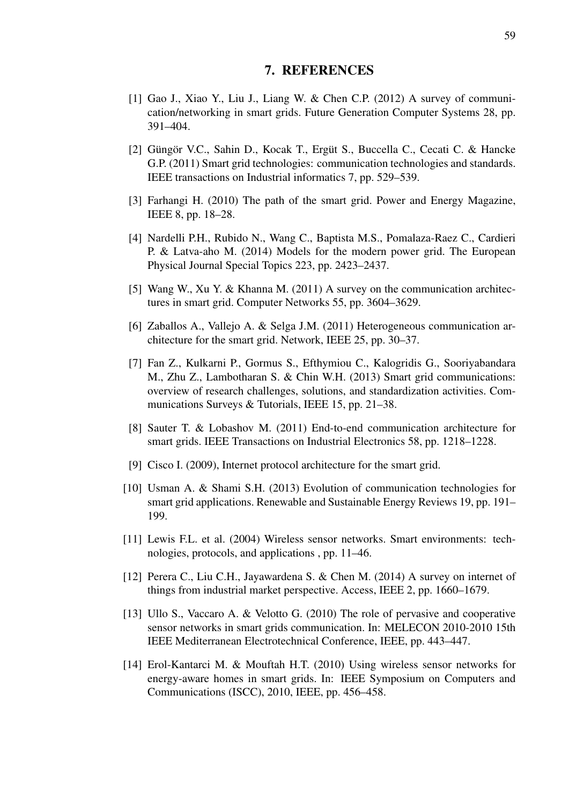### 7. REFERENCES

- [1] Gao J., Xiao Y., Liu J., Liang W. & Chen C.P. (2012) A survey of communication/networking in smart grids. Future Generation Computer Systems 28, pp. 391–404.
- [2] Güngör V.C., Sahin D., Kocak T., Ergüt S., Buccella C., Cecati C. & Hancke G.P. (2011) Smart grid technologies: communication technologies and standards. IEEE transactions on Industrial informatics 7, pp. 529–539.
- [3] Farhangi H. (2010) The path of the smart grid. Power and Energy Magazine, IEEE 8, pp. 18–28.
- [4] Nardelli P.H., Rubido N., Wang C., Baptista M.S., Pomalaza-Raez C., Cardieri P. & Latva-aho M. (2014) Models for the modern power grid. The European Physical Journal Special Topics 223, pp. 2423–2437.
- [5] Wang W., Xu Y. & Khanna M. (2011) A survey on the communication architectures in smart grid. Computer Networks 55, pp. 3604–3629.
- [6] Zaballos A., Vallejo A. & Selga J.M. (2011) Heterogeneous communication architecture for the smart grid. Network, IEEE 25, pp. 30–37.
- [7] Fan Z., Kulkarni P., Gormus S., Efthymiou C., Kalogridis G., Sooriyabandara M., Zhu Z., Lambotharan S. & Chin W.H. (2013) Smart grid communications: overview of research challenges, solutions, and standardization activities. Communications Surveys & Tutorials, IEEE 15, pp. 21–38.
- [8] Sauter T. & Lobashov M. (2011) End-to-end communication architecture for smart grids. IEEE Transactions on Industrial Electronics 58, pp. 1218–1228.
- [9] Cisco I. (2009), Internet protocol architecture for the smart grid.
- [10] Usman A. & Shami S.H. (2013) Evolution of communication technologies for smart grid applications. Renewable and Sustainable Energy Reviews 19, pp. 191– 199.
- [11] Lewis F.L. et al. (2004) Wireless sensor networks. Smart environments: technologies, protocols, and applications , pp. 11–46.
- [12] Perera C., Liu C.H., Jayawardena S. & Chen M. (2014) A survey on internet of things from industrial market perspective. Access, IEEE 2, pp. 1660–1679.
- [13] Ullo S., Vaccaro A. & Velotto G. (2010) The role of pervasive and cooperative sensor networks in smart grids communication. In: MELECON 2010-2010 15th IEEE Mediterranean Electrotechnical Conference, IEEE, pp. 443–447.
- [14] Erol-Kantarci M. & Mouftah H.T. (2010) Using wireless sensor networks for energy-aware homes in smart grids. In: IEEE Symposium on Computers and Communications (ISCC), 2010, IEEE, pp. 456–458.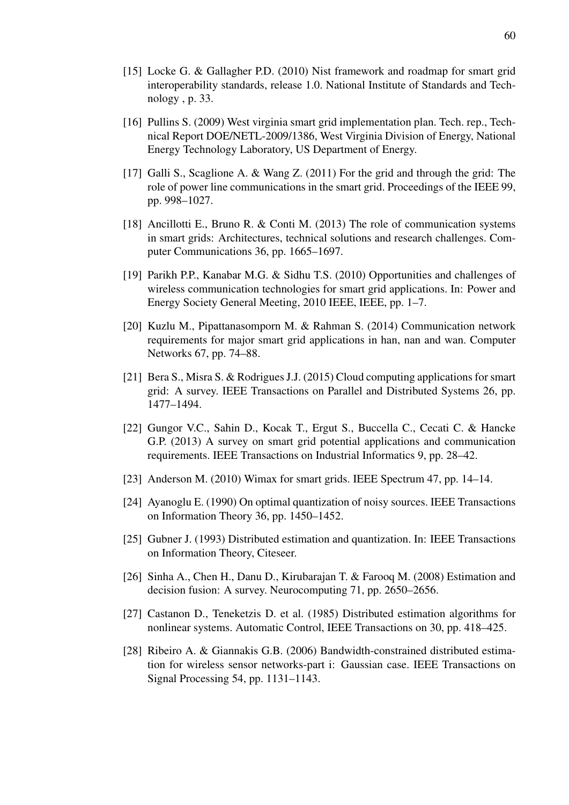- [15] Locke G. & Gallagher P.D. (2010) Nist framework and roadmap for smart grid interoperability standards, release 1.0. National Institute of Standards and Technology , p. 33.
- [16] Pullins S. (2009) West virginia smart grid implementation plan. Tech. rep., Technical Report DOE/NETL-2009/1386, West Virginia Division of Energy, National Energy Technology Laboratory, US Department of Energy.
- [17] Galli S., Scaglione A. & Wang Z. (2011) For the grid and through the grid: The role of power line communications in the smart grid. Proceedings of the IEEE 99, pp. 998–1027.
- [18] Ancillotti E., Bruno R. & Conti M. (2013) The role of communication systems in smart grids: Architectures, technical solutions and research challenges. Computer Communications 36, pp. 1665–1697.
- [19] Parikh P.P., Kanabar M.G. & Sidhu T.S. (2010) Opportunities and challenges of wireless communication technologies for smart grid applications. In: Power and Energy Society General Meeting, 2010 IEEE, IEEE, pp. 1–7.
- [20] Kuzlu M., Pipattanasomporn M. & Rahman S. (2014) Communication network requirements for major smart grid applications in han, nan and wan. Computer Networks 67, pp. 74–88.
- [21] Bera S., Misra S. & Rodrigues J.J. (2015) Cloud computing applications for smart grid: A survey. IEEE Transactions on Parallel and Distributed Systems 26, pp. 1477–1494.
- [22] Gungor V.C., Sahin D., Kocak T., Ergut S., Buccella C., Cecati C. & Hancke G.P. (2013) A survey on smart grid potential applications and communication requirements. IEEE Transactions on Industrial Informatics 9, pp. 28–42.
- [23] Anderson M. (2010) Wimax for smart grids. IEEE Spectrum 47, pp. 14–14.
- [24] Ayanoglu E. (1990) On optimal quantization of noisy sources. IEEE Transactions on Information Theory 36, pp. 1450–1452.
- [25] Gubner J. (1993) Distributed estimation and quantization. In: IEEE Transactions on Information Theory, Citeseer.
- [26] Sinha A., Chen H., Danu D., Kirubarajan T. & Farooq M. (2008) Estimation and decision fusion: A survey. Neurocomputing 71, pp. 2650–2656.
- [27] Castanon D., Teneketzis D. et al. (1985) Distributed estimation algorithms for nonlinear systems. Automatic Control, IEEE Transactions on 30, pp. 418–425.
- [28] Ribeiro A. & Giannakis G.B. (2006) Bandwidth-constrained distributed estimation for wireless sensor networks-part i: Gaussian case. IEEE Transactions on Signal Processing 54, pp. 1131–1143.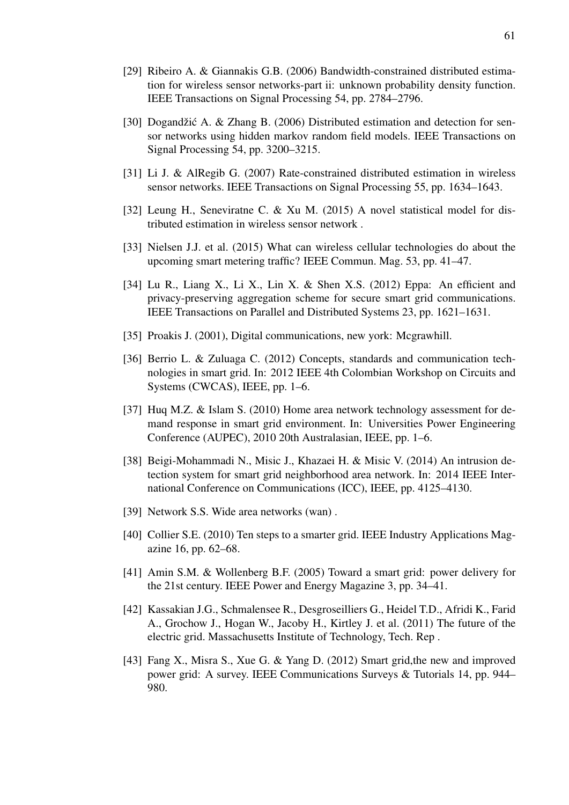- [29] Ribeiro A. & Giannakis G.B. (2006) Bandwidth-constrained distributed estimation for wireless sensor networks-part ii: unknown probability density function. IEEE Transactions on Signal Processing 54, pp. 2784–2796.
- [30] Dogandžić A. & Zhang B. (2006) Distributed estimation and detection for sensor networks using hidden markov random field models. IEEE Transactions on Signal Processing 54, pp. 3200–3215.
- [31] Li J. & AlRegib G. (2007) Rate-constrained distributed estimation in wireless sensor networks. IEEE Transactions on Signal Processing 55, pp. 1634–1643.
- [32] Leung H., Seneviratne C. & Xu M. (2015) A novel statistical model for distributed estimation in wireless sensor network .
- [33] Nielsen J.J. et al. (2015) What can wireless cellular technologies do about the upcoming smart metering traffic? IEEE Commun. Mag. 53, pp. 41–47.
- [34] Lu R., Liang X., Li X., Lin X. & Shen X.S. (2012) Eppa: An efficient and privacy-preserving aggregation scheme for secure smart grid communications. IEEE Transactions on Parallel and Distributed Systems 23, pp. 1621–1631.
- [35] Proakis J. (2001), Digital communications, new york: Mcgrawhill.
- [36] Berrio L. & Zuluaga C. (2012) Concepts, standards and communication technologies in smart grid. In: 2012 IEEE 4th Colombian Workshop on Circuits and Systems (CWCAS), IEEE, pp. 1–6.
- [37] Huq M.Z. & Islam S. (2010) Home area network technology assessment for demand response in smart grid environment. In: Universities Power Engineering Conference (AUPEC), 2010 20th Australasian, IEEE, pp. 1–6.
- [38] Beigi-Mohammadi N., Misic J., Khazaei H. & Misic V. (2014) An intrusion detection system for smart grid neighborhood area network. In: 2014 IEEE International Conference on Communications (ICC), IEEE, pp. 4125–4130.
- [39] Network S.S. Wide area networks (wan).
- [40] Collier S.E. (2010) Ten steps to a smarter grid. IEEE Industry Applications Magazine 16, pp. 62–68.
- [41] Amin S.M. & Wollenberg B.F. (2005) Toward a smart grid: power delivery for the 21st century. IEEE Power and Energy Magazine 3, pp. 34–41.
- [42] Kassakian J.G., Schmalensee R., Desgroseilliers G., Heidel T.D., Afridi K., Farid A., Grochow J., Hogan W., Jacoby H., Kirtley J. et al. (2011) The future of the electric grid. Massachusetts Institute of Technology, Tech. Rep .
- [43] Fang X., Misra S., Xue G. & Yang D. (2012) Smart grid,the new and improved power grid: A survey. IEEE Communications Surveys & Tutorials 14, pp. 944– 980.